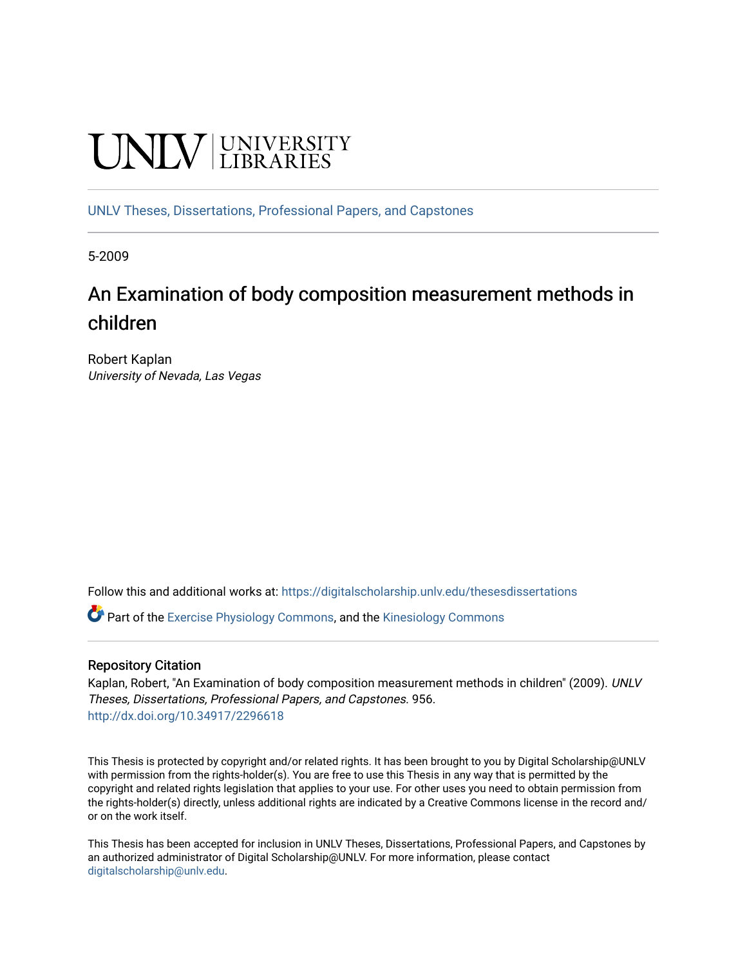# **UNIVERSITY**

[UNLV Theses, Dissertations, Professional Papers, and Capstones](https://digitalscholarship.unlv.edu/thesesdissertations)

5-2009

## An Examination of body composition measurement methods in children

Robert Kaplan University of Nevada, Las Vegas

Follow this and additional works at: [https://digitalscholarship.unlv.edu/thesesdissertations](https://digitalscholarship.unlv.edu/thesesdissertations?utm_source=digitalscholarship.unlv.edu%2Fthesesdissertations%2F956&utm_medium=PDF&utm_campaign=PDFCoverPages)

 $\bullet$  Part of the [Exercise Physiology Commons,](http://network.bepress.com/hgg/discipline/73?utm_source=digitalscholarship.unlv.edu%2Fthesesdissertations%2F956&utm_medium=PDF&utm_campaign=PDFCoverPages) and the Kinesiology Commons

## Repository Citation

Kaplan, Robert, "An Examination of body composition measurement methods in children" (2009). UNLV Theses, Dissertations, Professional Papers, and Capstones. 956. <http://dx.doi.org/10.34917/2296618>

This Thesis is protected by copyright and/or related rights. It has been brought to you by Digital Scholarship@UNLV with permission from the rights-holder(s). You are free to use this Thesis in any way that is permitted by the copyright and related rights legislation that applies to your use. For other uses you need to obtain permission from the rights-holder(s) directly, unless additional rights are indicated by a Creative Commons license in the record and/ or on the work itself.

This Thesis has been accepted for inclusion in UNLV Theses, Dissertations, Professional Papers, and Capstones by an authorized administrator of Digital Scholarship@UNLV. For more information, please contact [digitalscholarship@unlv.edu](mailto:digitalscholarship@unlv.edu).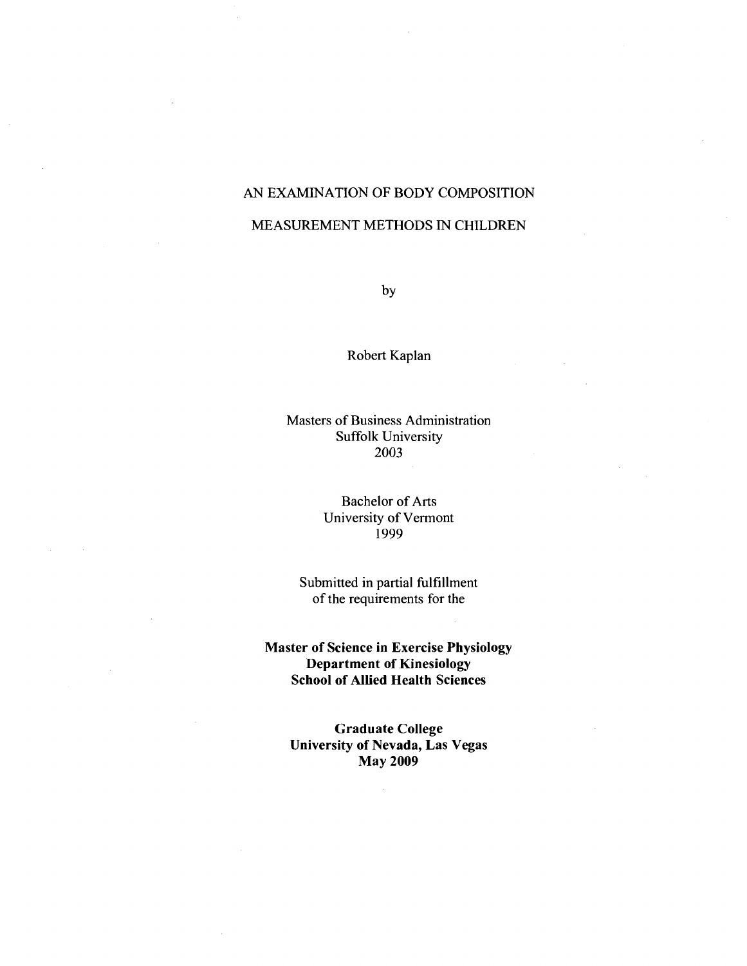## AN EXAMINATION OF BODY COMPOSITION

#### MEASUREMENT METHODS IN CHILDREN

by

Robert Kaplan

#### Masters of Business Administration Suffolk University 2003

#### Bachelor of Arts University of Vermont 1999

Submitted in partial fulfillment of the requirements for the

**Master of Science in Exercise Physiology Department of Kinesiology School of Allied Health Sciences** 

> **Graduate College University of Nevada, Las Vegas May 2009**

> > $\bar{z}$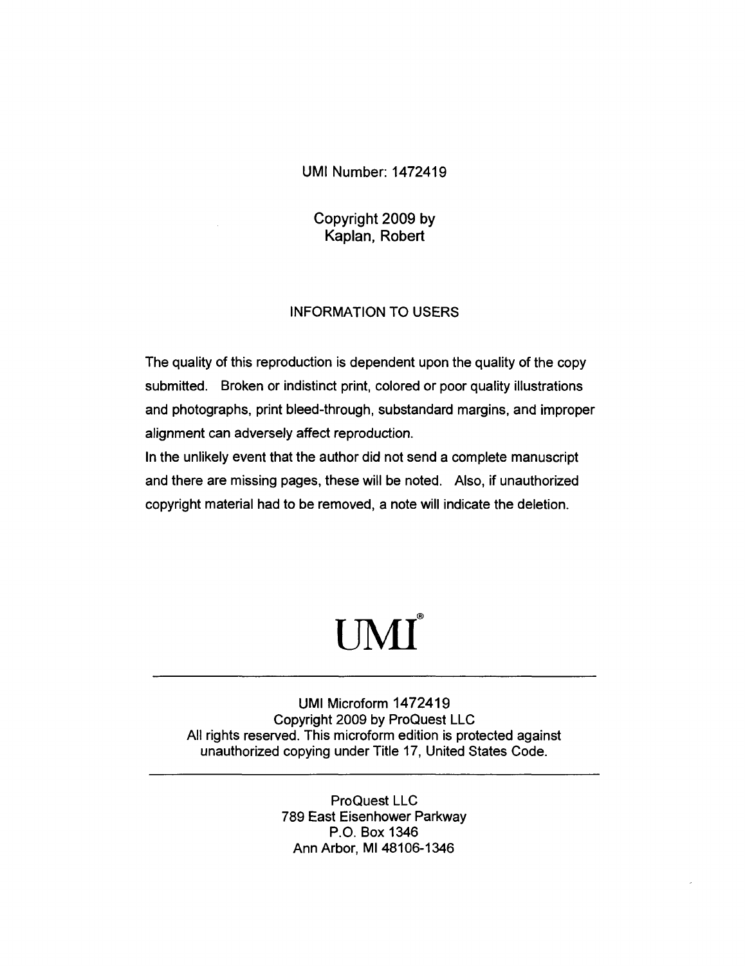## UMI Number: 1472419

## Copyright 2009 by Kaplan, Robert

### INFORMATION TO USERS

The quality of this reproduction is dependent upon the quality of the copy submitted. Broken or indistinct print, colored or poor quality illustrations and photographs, print bleed-through, substandard margins, and improper alignment can adversely affect reproduction.

In the unlikely event that the author did not send a complete manuscript and there are missing pages, these will be noted. Also, if unauthorized copyright material had to be removed, a note will indicate the deletion.

## UMI

UMI Microform 1472419 Copyright 2009 by ProQuest LLC All rights reserved. This microform edition is protected against unauthorized copying under Title 17, United States Code.

> ProQuest LLC 789 East Eisenhower Parkway P.O. Box 1346 Ann Arbor, Ml 48106-1346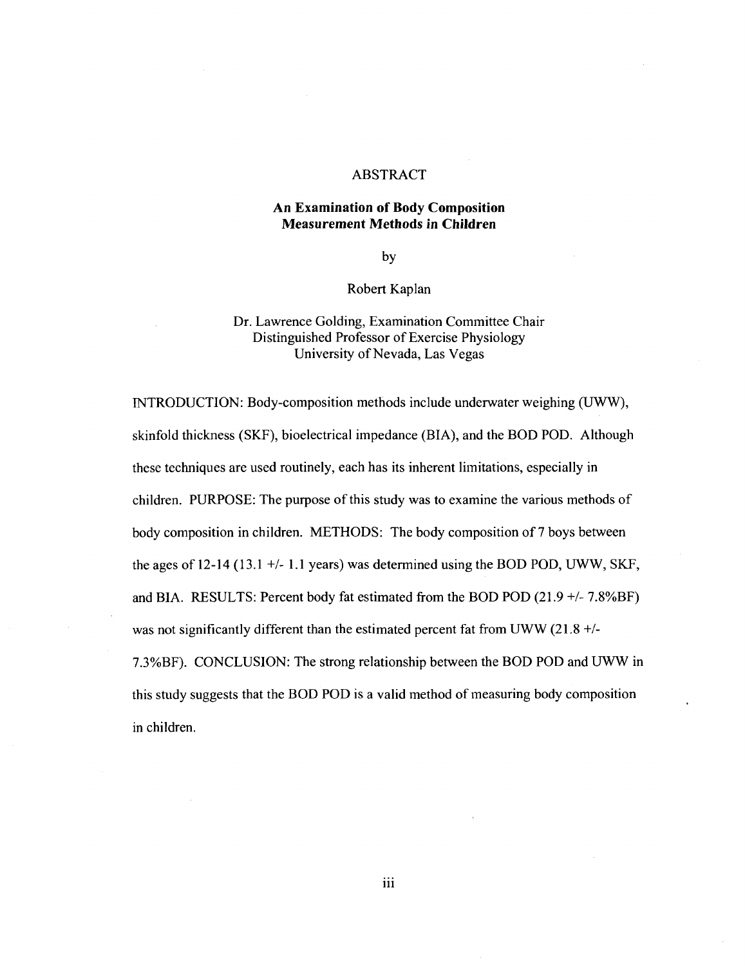#### ABSTRACT

#### **An Examination of Body Composition Measurement Methods in Children**

by

#### Robert Kaplan

## Dr. Lawrence Golding, Examination Committee Chair Distinguished Professor of Exercise Physiology University of Nevada, Las Vegas

INTRODUCTION: Body-composition methods include underwater weighing (UWW), skinfold thickness (SKF), bioelectrical impedance (BIA), and the BOD POD. Although these techniques are used routinely, each has its inherent limitations, especially in children. PURPOSE: The purpose of this study was to examine the various methods of body composition in children. METHODS: The body composition of 7 boys between the ages of 12-14 (13.1 +/- 1.1 years) was determined using the BOD POD, UWW, SKF, and BIA. RESULTS: Percent body fat estimated from the BOD POD (21.9 +/- 7.8%BF) was not significantly different than the estimated percent fat from UWW (21.8 +/-7.3%BF). CONCLUSION: The strong relationship between the BOD POD and UWW in this study suggests that the BOD POD is a valid method of measuring body composition in children.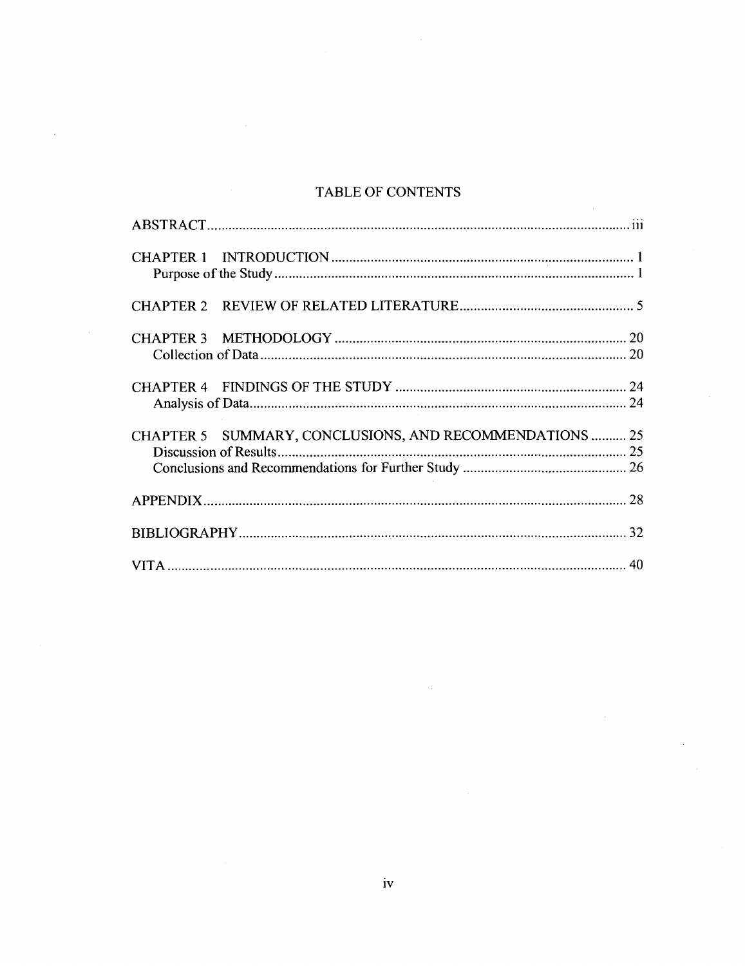## TABLE OF CONTENTS

| CHAPTER 5 SUMMARY, CONCLUSIONS, AND RECOMMENDATIONS  25 |  |
|---------------------------------------------------------|--|
|                                                         |  |
|                                                         |  |
|                                                         |  |
|                                                         |  |
|                                                         |  |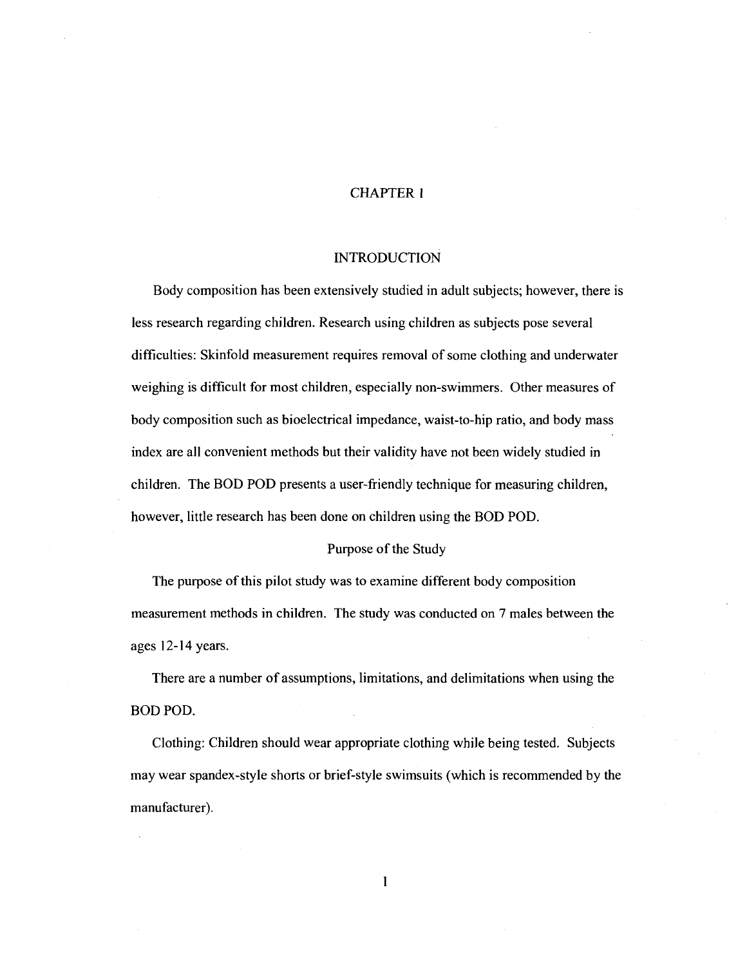#### CHAPTER 1

#### INTRODUCTION

Body composition has been extensively studied in adult subjects; however, there is less research regarding children. Research using children as subjects pose several difficulties: Skinfold measurement requires removal of some clothing and underwater weighing is difficult for most children, especially non-swimmers. Other measures of body composition such as bioelectrical impedance, waist-to-hip ratio, and body mass index are all convenient methods but their validity have not been widely studied in children. The BOD POD presents a user-friendly technique for measuring children, however, little research has been done on children using the BOD POD.

#### Purpose of the Study

The purpose of this pilot study was to examine different body composition measurement methods in children. The study was conducted on 7 males between the ages 12-14 years.

There are a number of assumptions, limitations, and delimitations when using the BOD POD.

Clothing: Children should wear appropriate clothing while being tested. Subjects may wear spandex-style shorts or brief-style swimsuits (which is recommended by the manufacturer).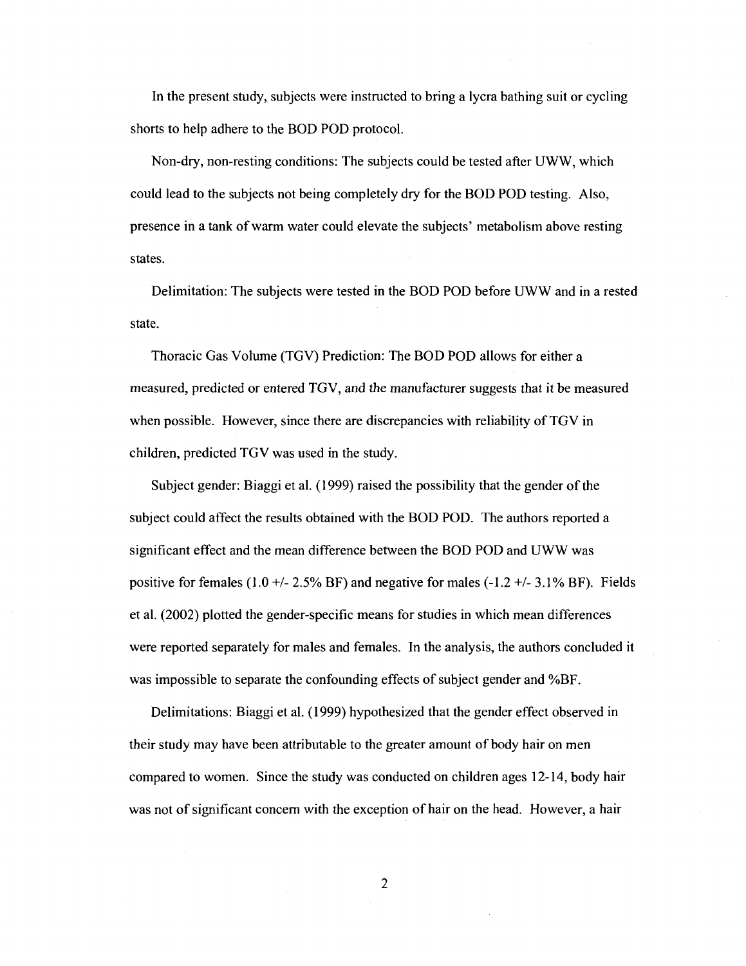In the present study, subjects were instructed to bring a lycra bathing suit or cycling shorts to help adhere to the BOD POD protocol.

Non-dry, non-resting conditions: The subjects could be tested after UWW, which could lead to the subjects not being completely dry for the BOD POD testing. Also, presence in a tank of warm water could elevate the subjects' metabolism above resting states.

Delimitation: The subjects were tested in the BOD POD before UWW and in a rested state.

Thoracic Gas Volume (TGV) Prediction: The BOD POD allows for either a measured, predicted or entered TGV, and the manufacturer suggests that it be measured when possible. However, since there are discrepancies with reliability of TGV in children, predicted TGV was used in the study.

Subject gender: Biaggi et al. (1999) raised the possibility that the gender of the subject could affect the results obtained with the BOD POD. The authors reported a significant effect and the mean difference between the BOD POD and UWW was positive for females  $(1.0 + - 2.5\% \text{ BF})$  and negative for males  $(-1.2 + - 3.1\% \text{ BF})$ . Fields et al. (2002) plotted the gender-specific means for studies in which mean differences were reported separately for males and females. In the analysis, the authors concluded it was impossible to separate the confounding effects of subject gender and %BF.

Delimitations: Biaggi et al. (1999) hypothesized that the gender effect observed in their study may have been attributable to the greater amount of body hair on men compared to women. Since the study was conducted on children ages 12-14, body hair was not of significant concern with the exception of hair on the head. However, a hair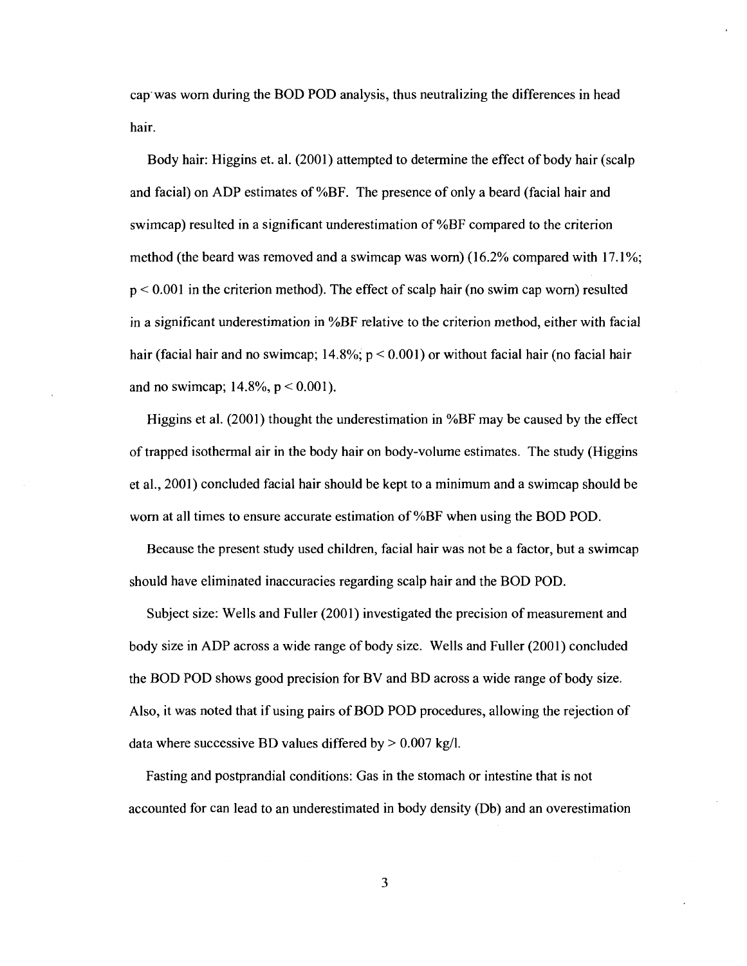cap was worn during the BOD POD analysis, thus neutralizing the differences in head hair.

Body hair: Higgins et. al. (2001) attempted to determine the effect of body hair (scalp and facial) on ADP estimates of %BF. The presence of only a beard (facial hair and swimcap) resulted in a significant underestimation of %BF compared to the criterion method (the beard was removed and a swimcap was worn) (16.2% compared with 17.1%; p < 0.001 in the criterion method). The effect of scalp hair (no swim cap worn) resulted in a significant underestimation in %BF relative to the criterion method, either with facial hair (facial hair and no swimcap; 14.8%; p < 0.001) or without facial hair (no facial hair and no swimcap;  $14.8\%$ ,  $p < 0.001$ ).

Higgins et al. (2001) thought the underestimation in %BF may be caused by the effect of trapped isothermal air in the body hair on body-volume estimates. The study (Higgins et al., 2001) concluded facial hair should be kept to a minimum and a swimcap should be worn at all times to ensure accurate estimation of %BF when using the BOD POD.

Because the present study used children, facial hair was not be a factor, but a swimcap should have eliminated inaccuracies regarding scalp hair and the BOD POD.

Subject size: Wells and Fuller (2001) investigated the precision of measurement and body size in ADP across a wide range of body size. Wells and Fuller (2001) concluded the BOD POD shows good precision for BV and BD across a wide range of body size. Also, it was noted that if using pairs of BOD POD procedures, allowing the rejection of data where successive BD values differed by  $> 0.007$  kg/l.

Fasting and postprandial conditions: Gas in the stomach or intestine that is not accounted for can lead to an underestimated in body density (Db) and an overestimation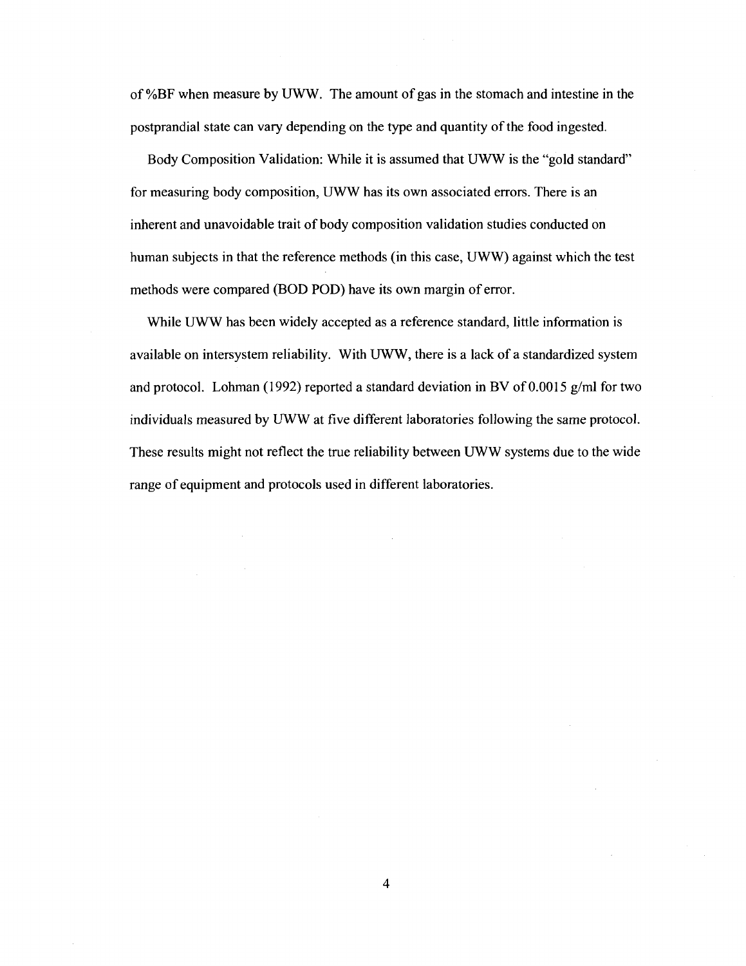of %BF when measure by UWW. The amount of gas in the stomach and intestine in the postprandial state can vary depending on the type and quantity of the food ingested.

Body Composition Validation: While it is assumed that UWW is the "gold standard" for measuring body composition, UWW has its own associated errors. There is an inherent and unavoidable trait of body composition validation studies conducted on human subjects in that the reference methods (in this case, UWW) against which the test methods were compared (BOD POD) have its own margin of error.

While UWW has been widely accepted as a reference standard, little information is available on intersystem reliability. With UWW, there is a lack of a standardized system and protocol. Lohman (1992) reported a standard deviation in BV of 0.0015 g/ml for two individuals measured by UWW at five different laboratories following the same protocol. These results might not reflect the true reliability between UWW systems due to the wide range of equipment and protocols used in different laboratories.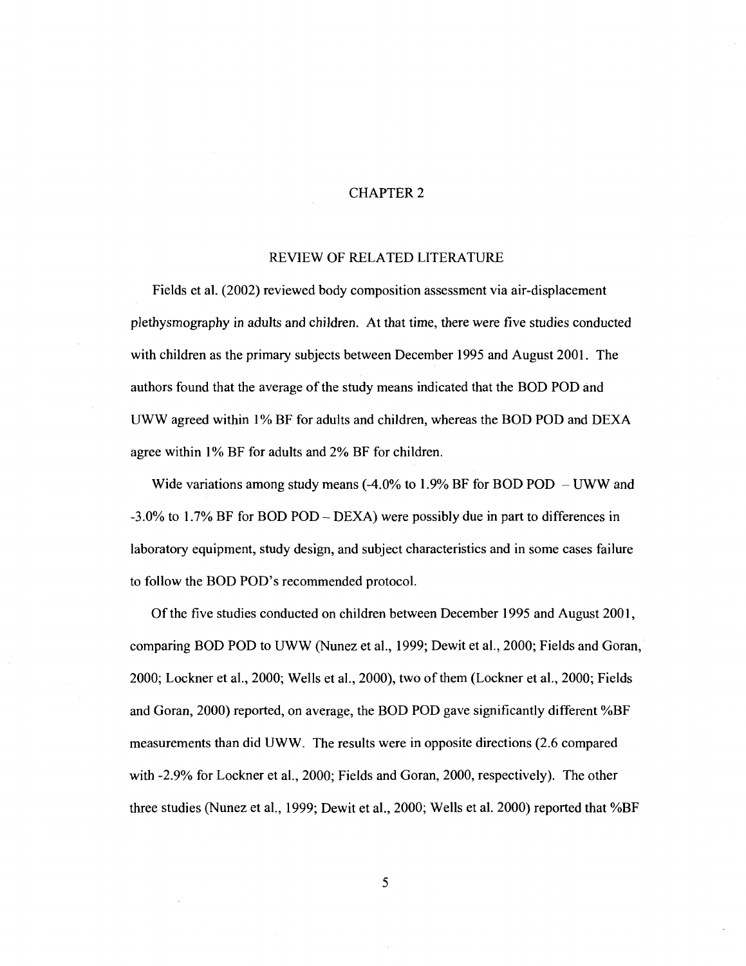#### CHAPTER 2

#### REVIEW OF RELATED LITERATURE

Fields et al. (2002) reviewed body composition assessment via air-displacement plethysmography in adults and children. At that time, there were five studies conducted with children as the primary subjects between December 1995 and August 2001. The authors found that the average of the study means indicated that the BOD POD and UWW agreed within 1% BF for adults and children, whereas the BOD POD and DEXA agree within 1% BF for adults and 2% BF for children.

Wide variations among study means  $(-4.0\%$  to 1.9% BF for BOD POD - UWW and -3.0% to 1.7% BF for BOD POD - DEXA) were possibly due in part to differences in laboratory equipment, study design, and subject characteristics and in some cases failure to follow the BOD POD's recommended protocol.

Of the five studies conducted on children between December 1995 and August 2001, comparing BOD POD to UWW (Nunez et al., 1999; Dewit et al., 2000; Fields and Goran, 2000; Lockner et al., 2000; Wells et al., 2000), two of them (Lockner et al., 2000; Fields and Goran, 2000) reported, on average, the BOD POD gave significantly different %BF measurements than did UWW. The results were in opposite directions (2.6 compared with -2.9% for Lockner et al., 2000; Fields and Goran, 2000, respectively). The other three studies (Nunez et al., 1999; Dewit et al., 2000; Wells et al. 2000) reported that %BF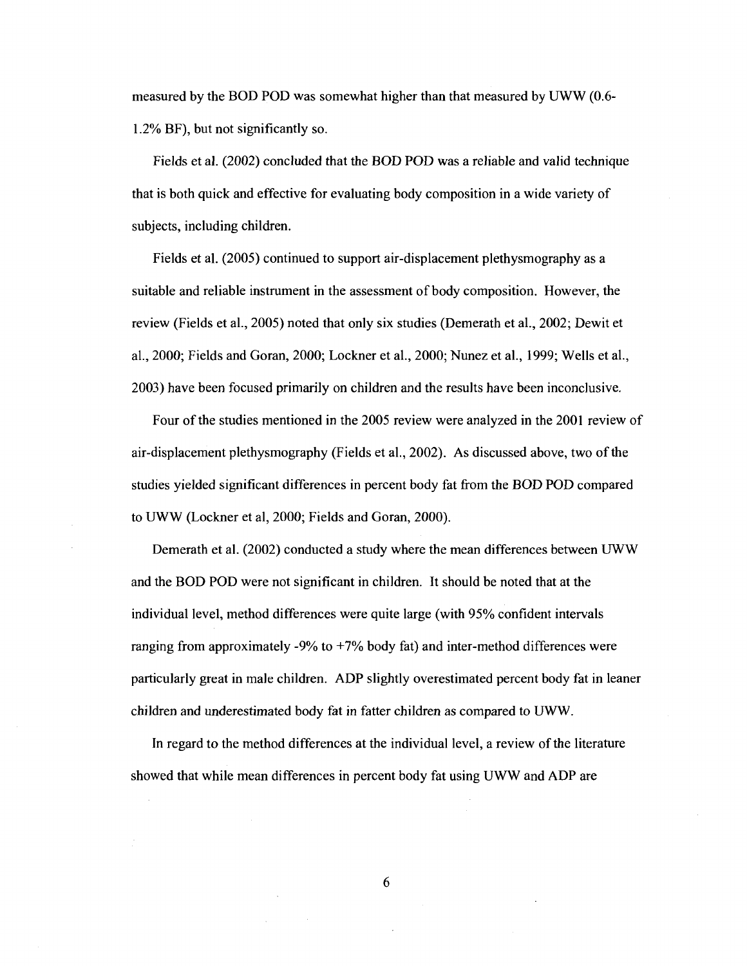measured by the BOD POD was somewhat higher than that measured by UWW (0.6- 1.2% BF), but not significantly so.

Fields et al. (2002) concluded that the BOD POD was a reliable and valid technique that is both quick and effective for evaluating body composition in a wide variety of subjects, including children.

Fields et al. (2005) continued to support air-displacement plethysmography as a suitable and reliable instrument in the assessment of body composition. However, the review (Fields et al., 2005) noted that only six studies (Demerath et al., 2002; Dewit et al., 2000; Fields and Goran, 2000; Lockner et al., 2000; Nunez et al., 1999; Wells et al., 2003) have been focused primarily on children and the results have been inconclusive.

Four of the studies mentioned in the 2005 review were analyzed in the 2001 review of air-displacement plethysmography (Fields et al., 2002). As discussed above, two of the studies yielded significant differences in percent body fat from the BOD POD compared to UWW (Lockner et al, 2000; Fields and Goran, 2000).

Demerath et al. (2002) conducted a study where the mean differences between UWW and the BOD POD were not significant in children. It should be noted that at the individual level, method differences were quite large (with 95% confident intervals ranging from approximately -9% to  $+7%$  body fat) and inter-method differences were particularly great in male children. ADP slightly overestimated percent body fat in leaner children and underestimated body fat in fatter children as compared to UWW.

In regard to the method differences at the individual level, a review of the literature showed that while mean differences in percent body fat using UWW and ADP are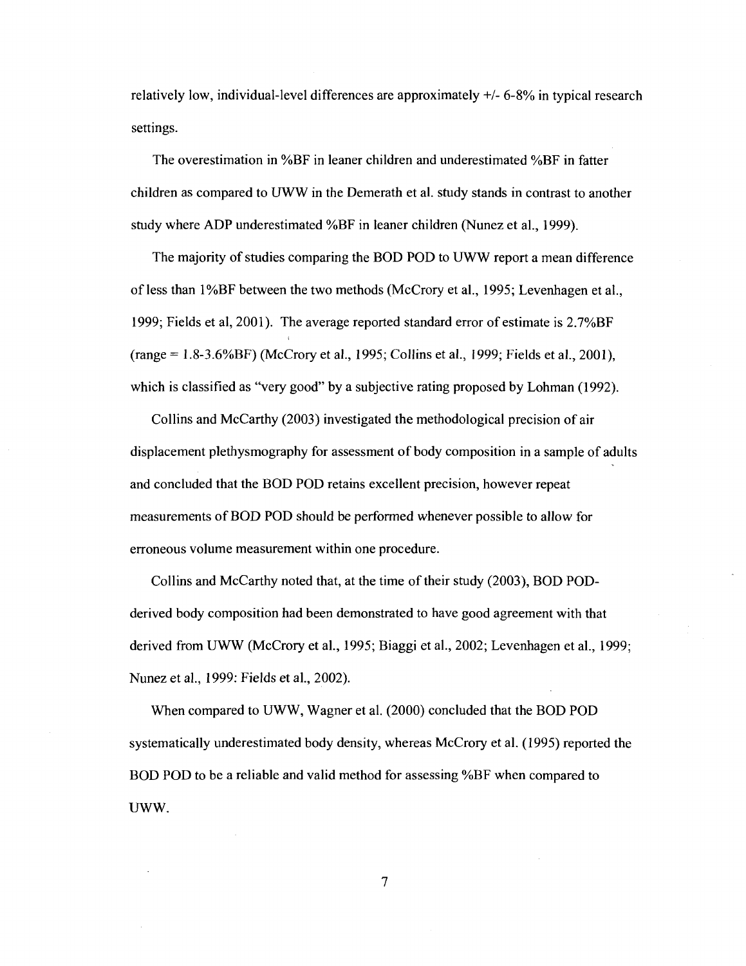relatively low, individual-level differences are approximately +/- 6-8% in typical research settings.

The overestimation in %BF in leaner children and underestimated %BF in fatter children as compared to UWW in the Demerath et al. study stands in contrast to another study where ADP underestimated %BF in leaner children (Nunez et al., 1999).

The majority of studies comparing the BOD POD to UWW report a mean difference of less than 1%BF between the two methods (McCrory et al., 1995; Levenhagen et al., 1999; Fields et al, 2001). The average reported standard error of estimate is 2.7%BF (range = 1.8-3.6%BF) (McCrory et al., 1995; Collins et al., 1999; Fields et al., 2001), which is classified as "very good" by a subjective rating proposed by Lohman (1992).

Collins and McCarthy (2003) investigated the methodological precision of air displacement plethysmography for assessment of body composition in a sample of adults and concluded that the BOD POD retains excellent precision, however repeat measurements of BOD POD should be performed whenever possible to allow for erroneous volume measurement within one procedure.

Collins and McCarthy noted that, at the time of their study (2003), BOD PODderived body composition had been demonstrated to have good agreement with that derived from UWW (McCrory et al., 1995; Biaggi et al., 2002; Levenhagen et al., 1999; Nunez et al., 1999: Fields et al., 2002).

When compared to UWW, Wagner et al. (2000) concluded that the BOD POD systematically underestimated body density, whereas McCrory et al. (1995) reported the BOD POD to be a reliable and valid method for assessing %BF when compared to UWW.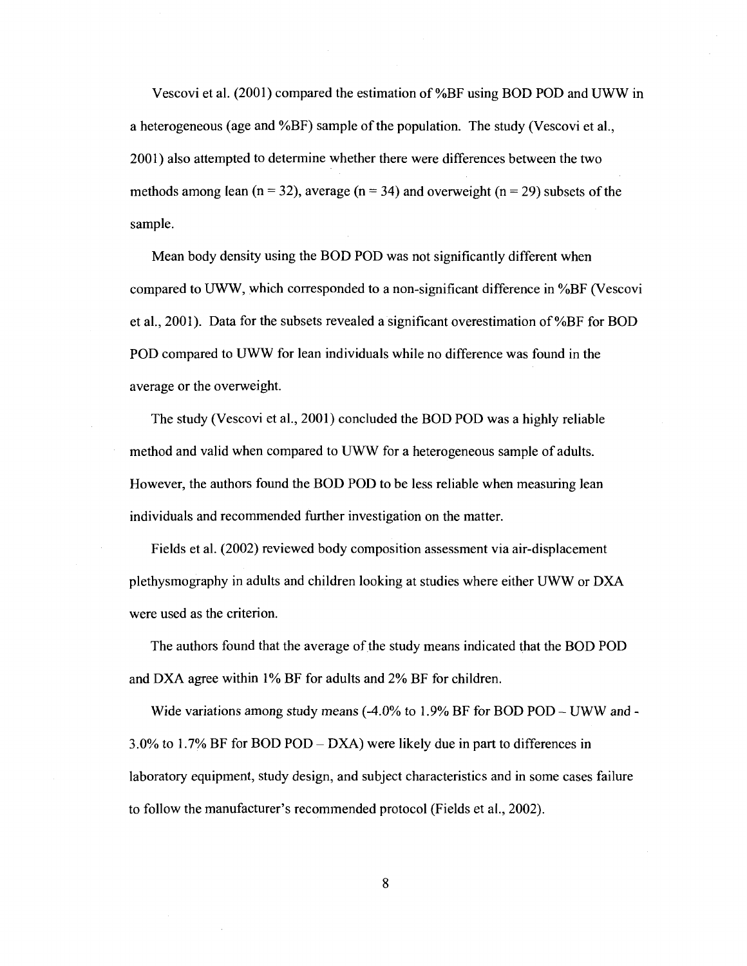Vescovi et al. (2001) compared the estimation of %BF using BOD POD and UWW in a heterogeneous (age and %BF) sample of the population. The study (Vescovi et al., 2001) also attempted to determine whether there were differences between the two methods among lean ( $n = 32$ ), average ( $n = 34$ ) and overweight ( $n = 29$ ) subsets of the sample.

Mean body density using the BOD POD was not significantly different when compared to UWW, which corresponded to a non-significant difference in %BF (Vescovi et al., 2001). Data for the subsets revealed a significant overestimation of %BF for BOD POD compared to UWW for lean individuals while no difference was found in the average or the overweight.

The study (Vescovi et al., 2001) concluded the BOD POD was a highly reliable method and valid when compared to UWW for a heterogeneous sample of adults. However, the authors found the BOD POD to be less reliable when measuring lean individuals and recommended further investigation on the matter.

Fields et al. (2002) reviewed body composition assessment via air-displacement plethysmography in adults and children looking at studies where either UWW or DXA were used as the criterion.

The authors found that the average of the study means indicated that the BOD POD and DXA agree within 1% BF for adults and 2% BF for children.

Wide variations among study means  $(-4.0\% \text{ to } 1.9\% \text{ BF for BOD POD} - \text{UWW and} - \text{IWW} \text{ }$ 3.0% to 1.7% BF for BOD POD - DXA) were likely due in part to differences in laboratory equipment, study design, and subject characteristics and in some cases failure to follow the manufacturer's recommended protocol (Fields et al., 2002).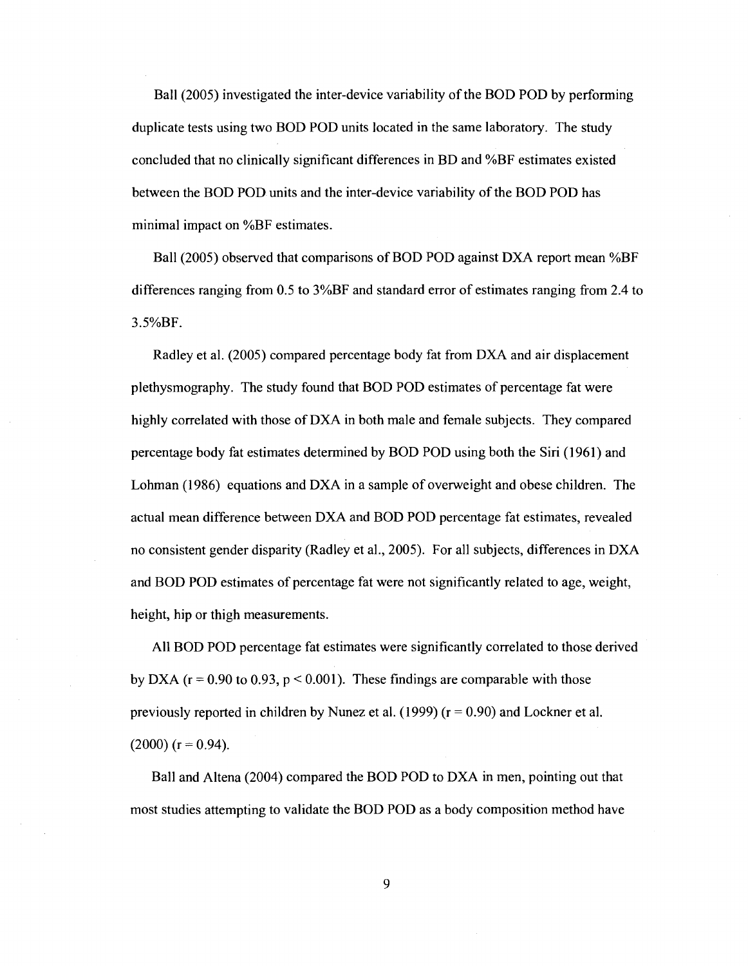Ball (2005) investigated the inter-device variability of the BOD POD by performing duplicate tests using two BOD POD units located in the same laboratory. The study concluded that no clinically significant differences in BD and %BF estimates existed between the BOD POD units and the inter-device variability of the BOD POD has minimal impact on %BF estimates.

Ball (2005) observed that comparisons of BOD POD against DXA report mean %BF differences ranging from 0.5 to 3%BF and standard error of estimates ranging from 2.4 to 3.5%BF.

Radley et al. (2005) compared percentage body fat from DXA and air displacement plethysmography. The study found that BOD POD estimates of percentage fat were highly correlated with those of DXA in both male and female subjects. They compared percentage body fat estimates determined by BOD POD using both the Siri (1961) and Lohman (1986) equations and DXA in a sample of overweight and obese children. The actual mean difference between DXA and BOD POD percentage fat estimates, revealed no consistent gender disparity (Radley et al., 2005). For all subjects, differences in DXA and BOD POD estimates of percentage fat were not significantly related to age, weight, height, hip or thigh measurements.

All BOD POD percentage fat estimates were significantly correlated to those derived by DXA ( $r = 0.90$  to 0.93,  $p \le 0.001$ ). These findings are comparable with those previously reported in children by Nunez et al. (1999) ( $r = 0.90$ ) and Lockner et al.  $(2000)$  (r = 0.94).

Ball and Altena (2004) compared the BOD POD to DXA in men, pointing out that most studies attempting to validate the BOD POD as a body composition method have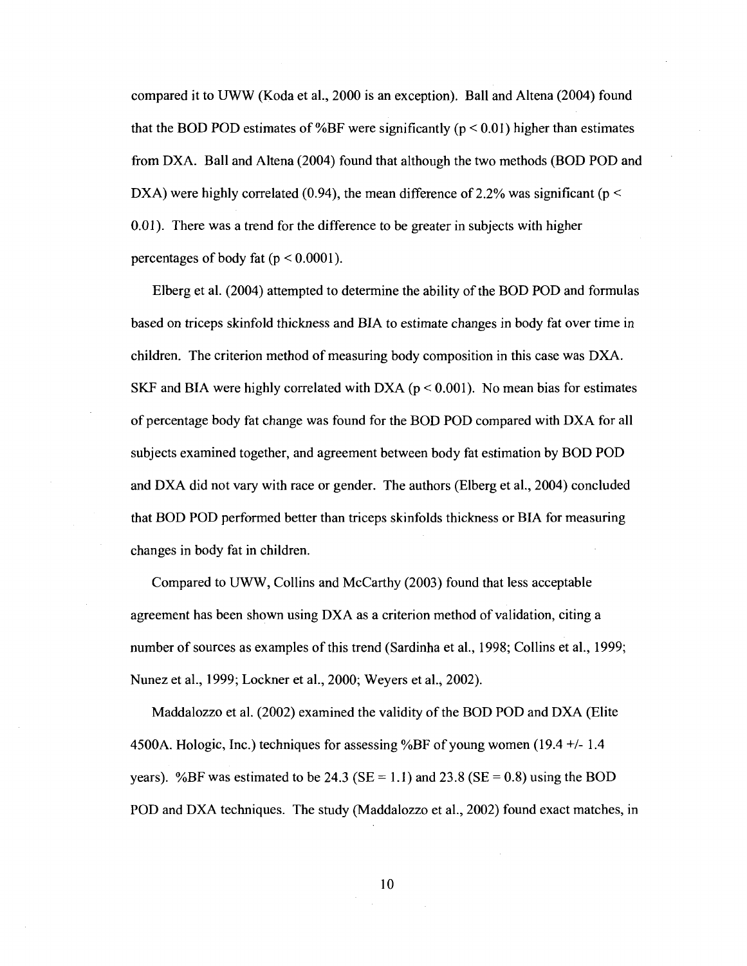compared it to UWW (Koda et al., 2000 is an exception). Ball and Altena (2004) found that the BOD POD estimates of %BF were significantly ( $p < 0.01$ ) higher than estimates from DXA. Ball and Altena (2004) found that although the two methods (BOD POD and DXA) were highly correlated (0.94), the mean difference of 2.2% was significant ( $p \le$ 0.01). There was a trend for the difference to be greater in subjects with higher percentages of body fat ( $p < 0.0001$ ).

Elberg et al. (2004) attempted to determine the ability of the BOD POD and formulas based on triceps skinfold thickness and BIA to estimate changes in body fat over time in children. The criterion method of measuring body composition in this case was DXA. SKF and BIA were highly correlated with DXA ( $p < 0.001$ ). No mean bias for estimates of percentage body fat change was found for the BOD POD compared with DXA for all subjects examined together, and agreement between body fat estimation by BOD POD and DXA did not vary with race or gender. The authors (Elberg et al., 2004) concluded that BOD POD performed better than triceps skinfolds thickness or BIA for measuring changes in body fat in children.

Compared to UWW, Collins and McCarthy (2003) found that less acceptable agreement has been shown using DXA as a criterion method of validation, citing a number of sources as examples of this trend (Sardinha et al., 1998; Collins et al., 1999; Nunez et al., 1999; Lockner et al., 2000; Weyers et al., 2002).

Maddalozzo et al. (2002) examined the validity of the BOD POD and DXA (Elite 4500A. Hologic, Inc.) techniques for assessing %BF of young women (19.4 +/- 1.4 years). %BF was estimated to be 24.3 (SE = 1.1) and 23.8 (SE = 0.8) using the BOD POD and DXA techniques. The study (Maddalozzo et al., 2002) found exact matches, in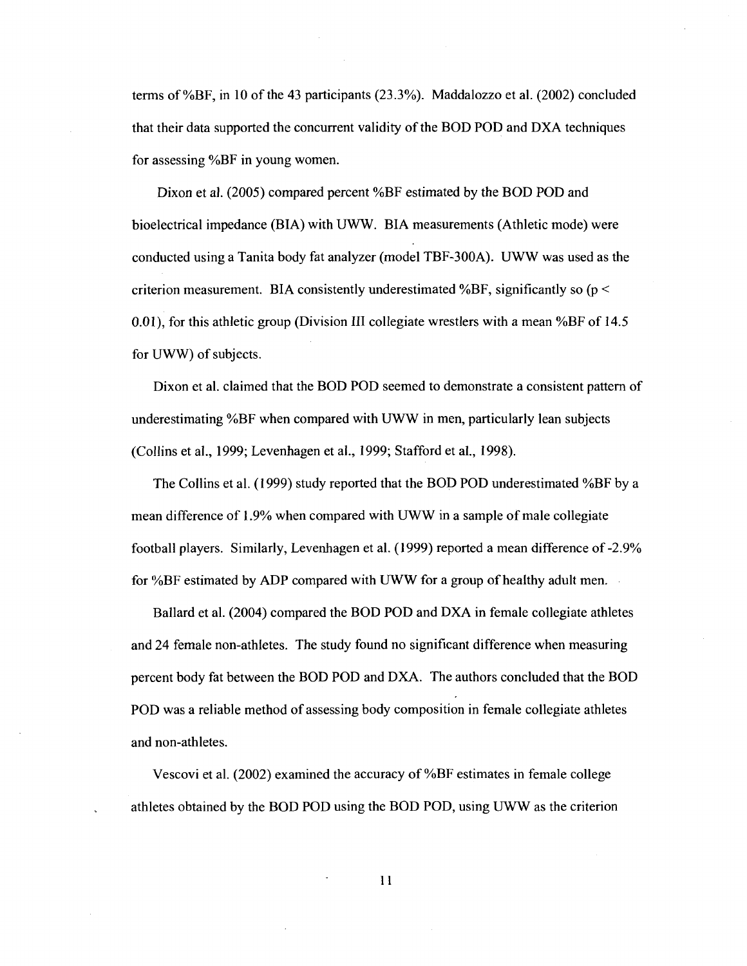terms of %BF, in 10 of the 43 participants (23.3%). Maddalozzo et al. (2002) concluded that their data supported the concurrent validity of the BOD POD and DXA techniques for assessing %BF in young women.

Dixon et al. (2005) compared percent %BF estimated by the BOD POD and bioelectrical impedance (BIA) with UWW. BIA measurements (Athletic mode) were conducted using a Tanita body fat analyzer (model TBF-300A). UWW was used as the criterion measurement. BIA consistently underestimated %BF, significantly so ( $p <$ 0.01), for this athletic group (Division III collegiate wrestlers with a mean %BF of 14.5 for UWW) of subjects.

Dixon et al. claimed that the BOD POD seemed to demonstrate a consistent pattern of underestimating %BF when compared with UWW in men, particularly lean subjects (Collins et al., 1999; Levenhagen et al., 1999; Stafford et al., 1998).

The Collins et al. (1999) study reported that the BOD POD underestimated %BF by a mean difference of 1.9% when compared with UWW in a sample of male collegiate football players. Similarly, Levenhagen et al. (1999) reported a mean difference of-2.9% for %BF estimated by ADP compared with UWW for a group of healthy adult men.

Ballard et al. (2004) compared the BOD POD and DXA in female collegiate athletes and 24 female non-athletes. The study found no significant difference when measuring percent body fat between the BOD POD and DXA. The authors concluded that the BOD POD was a reliable method of assessing body composition in female collegiate athletes and non-athletes.

Vescovi et al. (2002) examined the accuracy of %BF estimates in female college athletes obtained by the BOD POD using the BOD POD, using UWW as the criterion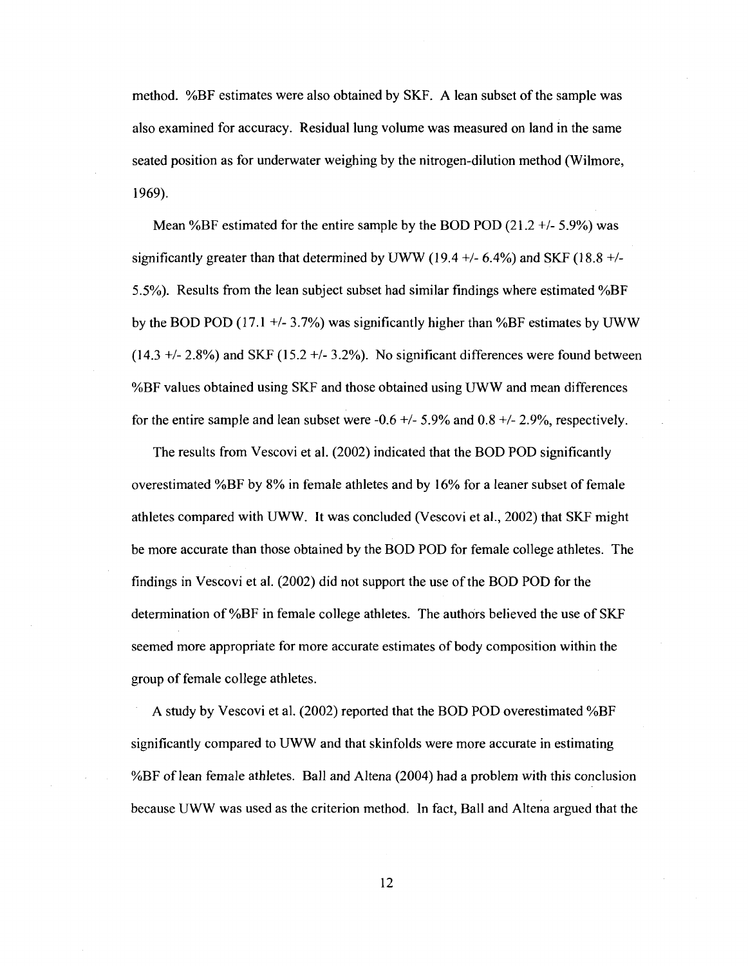method. %BF estimates were also obtained by SKF. A lean subset of the sample was also examined for accuracy. Residual lung volume was measured on land in the same seated position as for underwater weighing by the nitrogen-dilution method (Wilmore, 1969).

Mean %BF estimated for the entire sample by the BOD POD  $(21.2 +1.5.9%)$  was significantly greater than that determined by UWW (19.4 +/- 6.4%) and SKF (18.8 +/-5.5%). Results from the lean subject subset had similar findings where estimated %BF by the BOD POD (17.1  $+/- 3.7\%$ ) was significantly higher than %BF estimates by UWW  $(14.3 +/- 2.8%)$  and SKF  $(15.2 +/- 3.2%)$ . No significant differences were found between %BF values obtained using SKF and those obtained using UWW and mean differences for the entire sample and lean subset were  $-0.6 +/- 5.9%$  and  $0.8 +/- 2.9%$ , respectively.

The results from Vescovi et al. (2002) indicated that the BOD POD significantly overestimated %BF by 8% in female athletes and by 16% for a leaner subset of female athletes compared with UWW. It was concluded (Vescovi et al., 2002) that SKF might be more accurate than those obtained by the BOD POD for female college athletes. The findings in Vescovi et al. (2002) did not support the use of the BOD POD for the determination of %BF in female college athletes. The authors believed the use of SKF seemed more appropriate for more accurate estimates of body composition within the group of female college athletes.

A study by Vescovi et al. (2002) reported that the BOD POD overestimated %BF significantly compared to UWW and that skinfolds were more accurate in estimating %BF of lean female athletes. Ball and Altena (2004) had a problem with this conclusion because UWW was used as the criterion method. In fact, Ball and Altena argued that the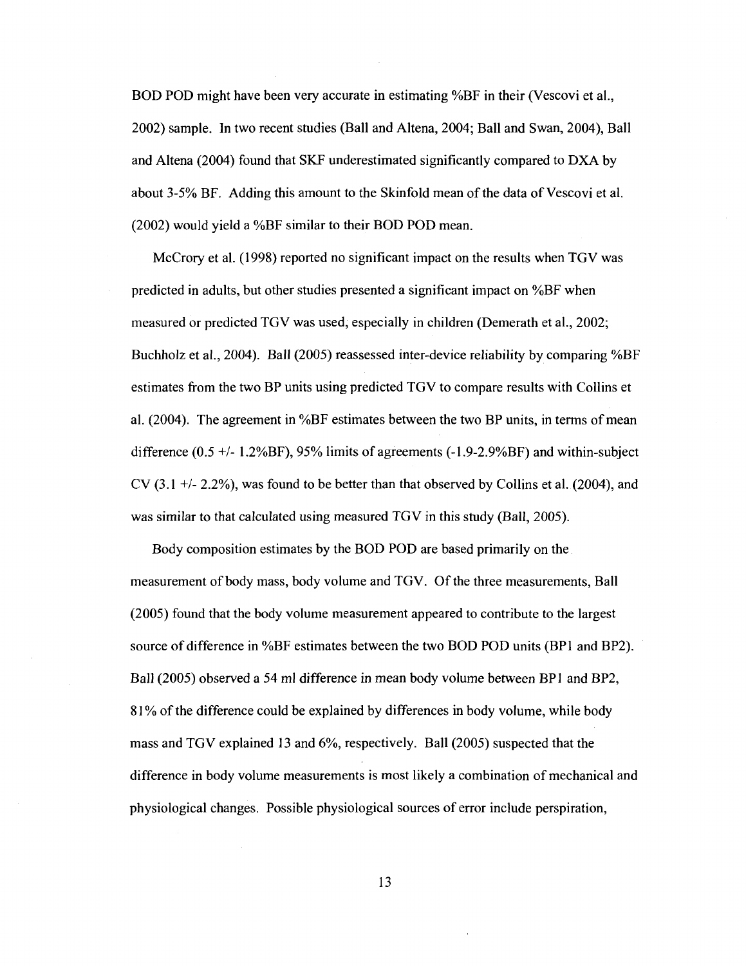BOD POD might have been very accurate in estimating %BF in their (Vescovi et al., 2002) sample. In two recent studies (Ball and Altena, 2004; Ball and Swan, 2004), Ball and Altena (2004) found that SKF underestimated significantly compared to DXA by about 3-5% BF. Adding this amount to the Skinfold mean of the data of Vescovi et al. (2002) would yield a %BF similar to their BOD POD mean.

McCrory et al. (1998) reported no significant impact on the results when TGV was predicted in adults, but other studies presented a significant impact on %BF when measured or predicted TGV was used, especially in children (Demerath et al., 2002; Buchholz et al., 2004). Ball (2005) reassessed inter-device reliability by comparing %BF estimates from the two BP units using predicted TGV to compare results with Collins et al. (2004). The agreement in %BF estimates between the two BP units, in terms of mean difference (0.5 +/- 1.2%BF), 95% limits of agreements ([-1.9-2.9%BF\)](http://-1.9-2.9%BF) and within-subject CV (3.1 +/- 2.2%), was found to be better than that observed by Collins et al. (2004), and was similar to that calculated using measured TGV in this study (Ball, 2005).

Body composition estimates by the BOD POD are based primarily on the measurement of body mass, body volume and TGV. Of the three measurements, Ball (2005) found that the body volume measurement appeared to contribute to the largest source of difference in %BF estimates between the two BOD POD units (BP1 and BP2). Ball (2005) observed a 54 ml difference in mean body volume between BP1 and BP2, 81% of the difference could be explained by differences in body volume, while body mass and TGV explained 13 and 6%, respectively. Ball (2005) suspected that the difference in body volume measurements is most likely a combination of mechanical and physiological changes. Possible physiological sources of error include perspiration,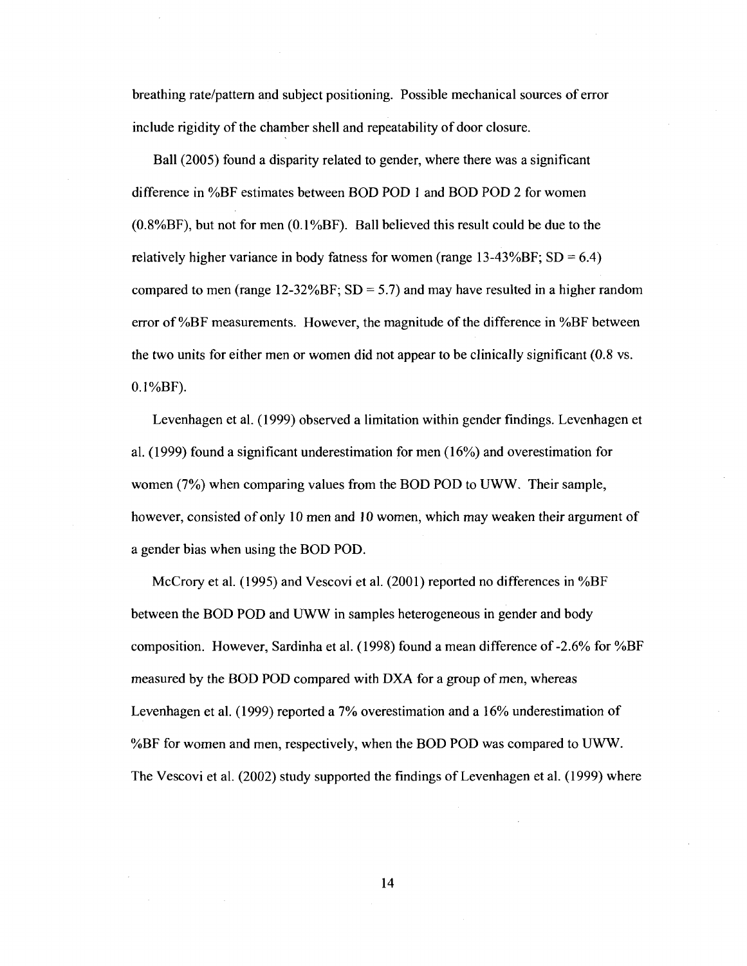breathing rate/pattern and subject positioning. Possible mechanical sources of error include rigidity of the chamber shell and repeatability of door closure.

Ball (2005) found a disparity related to gender, where there was a significant difference in %BF estimates between BOD POD 1 and BOD POD 2 for women  $(0.8\%BF)$ , but not for men  $(0.1\%BF)$ . Ball believed this result could be due to the relatively higher variance in body fatness for women (range  $13{\text -}43\%{\text{BF}}$ ; SD = 6.4) compared to men (range 12-32% $BF$ ; SD = 5.7) and may have resulted in a higher random error of %BF measurements. However, the magnitude of the difference in %BF between the two units for either men or women did not appear to be clinically significant (0.8 vs.  $0.1\%BF$ ).

Levenhagen et al. (1999) observed a limitation within gender findings. Levenhagen et al. (1999) found a significant underestimation for men (16%) and overestimation for women (7%) when comparing values from the BOD POD to UWW. Their sample, however, consisted of only 10 men and 10 women, which may weaken their argument of a gender bias when using the BOD POD.

McCrory et al. (1995) and Vescovi et al. (2001) reported no differences in %BF between the BOD POD and UWW in samples heterogeneous in gender and body composition. However, Sardinha et al. (1998) found a mean difference of-2.6% for %BF measured by the BOD POD compared with DXA for a group of men, whereas Levenhagen et al. (1999) reported a 7% overestimation and a 16% underestimation of %BF for women and men, respectively, when the BOD POD was compared to UWW. The Vescovi et al. (2002) study supported the findings of Levenhagen et al. (1999) where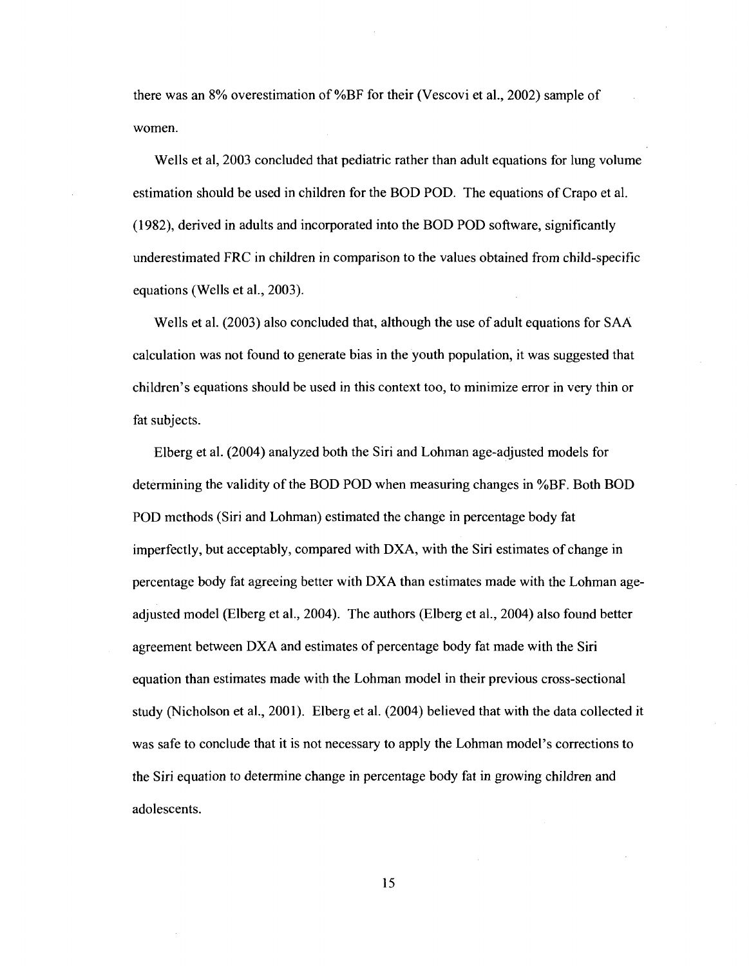there was an 8% overestimation of %BF for their (Vescovi et al., 2002) sample of women.

Wells et al, 2003 concluded that pediatric rather than adult equations for lung volume estimation should be used in children for the BOD POD. The equations of Crapo et al. (1982), derived in adults and incorporated into the BOD POD software, significantly underestimated FRC in children in comparison to the values obtained from child-specific equations (Wells et al., 2003).

Wells et al. (2003) also concluded that, although the use of adult equations for SAA calculation was not found to generate bias in the youth population, it was suggested that children's equations should be used in this context too, to minimize error in very thin or fat subjects.

Elberg et al. (2004) analyzed both the Siri and Lohman age-adjusted models for determining the validity of the BOD POD when measuring changes in %BF. Both BOD POD methods (Siri and Lohman) estimated the change in percentage body fat imperfectly, but acceptably, compared with DXA, with the Siri estimates of change in percentage body fat agreeing better with DXA than estimates made with the Lohman ageadjusted model (Elberg et al., 2004). The authors (Elberg et al., 2004) also found better agreement between DXA and estimates of percentage body fat made with the Siri equation than estimates made with the Lohman model in their previous cross-sectional study (Nicholson et al., 2001). Elberg et al. (2004) believed that with the data collected it was safe to conclude that it is not necessary to apply the Lohman model's corrections to the Siri equation to determine change in percentage body fat in growing children and adolescents.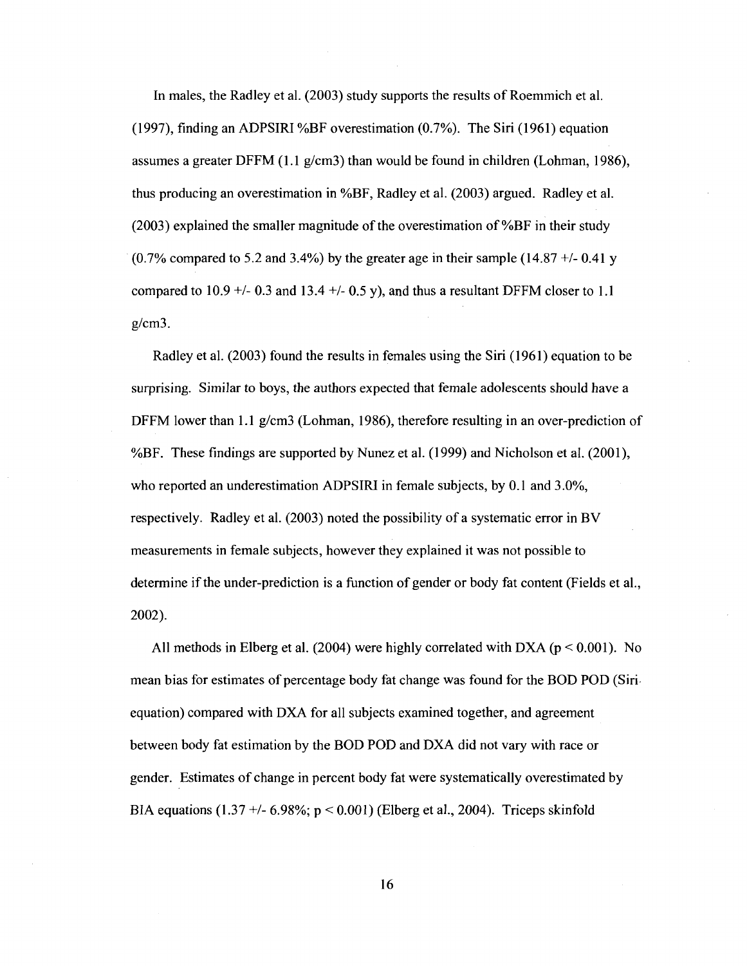In males, the Radley et al. (2003) study supports the results of Roemmich et al. (1997), finding an ADPSIRI %BF overestimation (0.7%). The Siri (1961) equation assumes a greater DFFM (1.1 g/cm3) than would be found in children (Lohman, 1986), thus producing an overestimation in %BF, Radley et al. (2003) argued. Radley et al. (2003) explained the smaller magnitude of the overestimation of %BF in their study  $(0.7\%$  compared to 5.2 and 3.4%) by the greater age in their sample  $(14.87 + 0.41)$ compared to 10.9  $+/-$  0.3 and 13.4  $+/-$  0.5 y), and thus a resultant DFFM closer to 1.1 g/cm3.

Radley et al. (2003) found the results in females using the Siri (1961) equation to be surprising. Similar to boys, the authors expected that female adolescents should have a DFFM lower than 1.1 g/cm3 (Lohman, 1986), therefore resulting in an over-prediction of %BF. These findings are supported by Nunez et al. (1999) and Nicholson et al. (2001), who reported an underestimation ADPSIRI in female subjects, by 0.1 and 3.0%, respectively. Radley et al. (2003) noted the possibility of a systematic error in BV measurements in female subjects, however they explained it was not possible to determine if the under-prediction is a function of gender or body fat content (Fields et al., 2002).

All methods in Elberg et al. (2004) were highly correlated with DXA ( $p < 0.001$ ). No mean bias for estimates of percentage body fat change was found for the BOD POD (Siri equation) compared with DXA for all subjects examined together, and agreement between body fat estimation by the BOD POD and DXA did not vary with race or gender. Estimates of change in percent body fat were systematically overestimated by BIA equations (1.37 +/- 6.98%;  $p < 0.001$ ) (Elberg et al., 2004). Triceps skinfold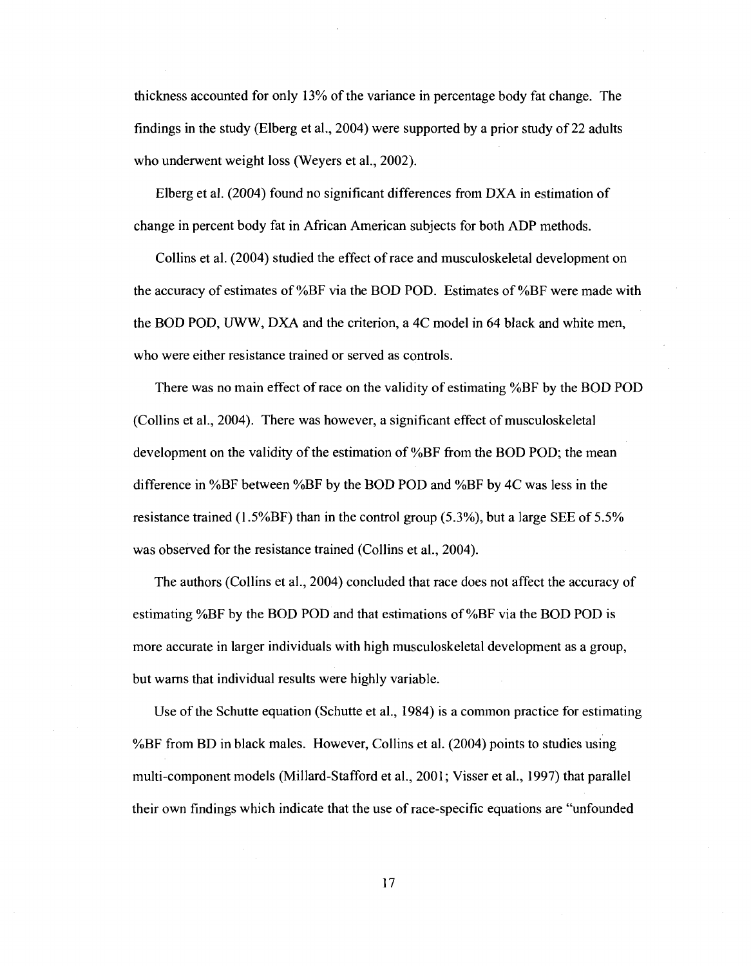thickness accounted for only 13% of the variance in percentage body fat change. The findings in the study (Elberg et al., 2004) were supported by a prior study of 22 adults who underwent weight loss (Weyers et al., 2002).

Elberg et al. (2004) found no significant differences from DXA in estimation of change in percent body fat in African American subjects for both ADP methods.

Collins et al. (2004) studied the effect of race and musculoskeletal development on the accuracy of estimates of %BF via the BOD POD. Estimates of %BF were made with the BOD POD, UWW, DXA and the criterion, a 4C model in 64 black and white men, who were either resistance trained or served as controls.

There was no main effect of race on the validity of estimating %BF by the BOD POD (Collins et al., 2004). There was however, a significant effect of musculoskeletal development on the validity of the estimation of %BF from the BOD POD; the mean difference in %BF between %BF by the BOD POD and %BF by 4C was less in the resistance trained (1.5%BF) than in the control group (5.3%), but a large SEE of 5.5% was observed for the resistance trained (Collins et al., 2004).

The authors (Collins et al., 2004) concluded that race does not affect the accuracy of estimating %BF by the BOD POD and that estimations of %BF via the BOD POD is more accurate in larger individuals with high musculoskeletal development as a group, but warns that individual results were highly variable.

Use of the Schutte equation (Schutte et al., 1984) is a common practice for estimating %BF from BD in black males. However, Collins et al. (2004) points to studies using multi-component models (Millard-Stafford et al., 2001; Visser et al., 1997) that parallel their own findings which indicate that the use of race-specific equations are "unfounded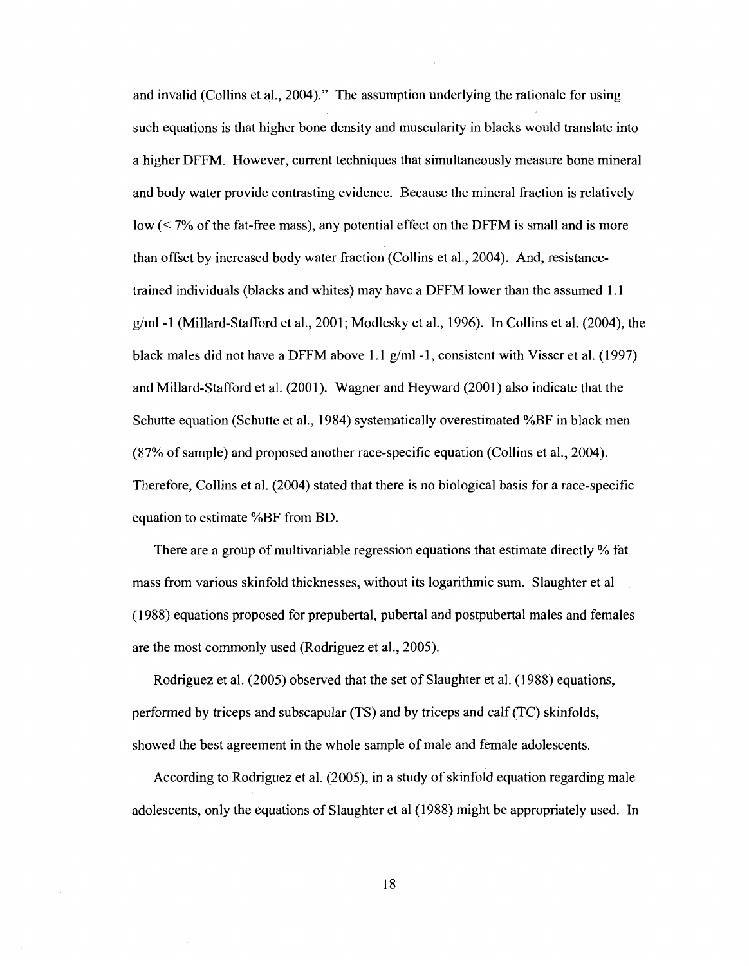and invalid (Collins et al., 2004)." The assumption underlying the rationale for using such equations is that higher bone density and muscularity in blacks would translate into a higher DFFM. However, current techniques that simultaneously measure bone mineral and body water provide contrasting evidence. Because the mineral fraction is relatively low (< 7% of the fat-free mass), any potential effect on the DFFM is small and is more than offset by increased body water fraction (Collins et al., 2004). And, resistancetrained individuals (blacks and whites) may have a DFFM lower than the assumed 1.1 g/ml -1 (Millard-Stafford et al., 2001; Modlesky et al., 1996). In Collins et al. (2004), the black males did not have a DFFM above 1.1 g/ml -1 , consistent with Visser et al. (1997) and Millard-Stafford et al. (2001). Wagner and Heyward (2001) also indicate that the Schutte equation (Schutte et al., 1984) systematically overestimated %BF in black men (87% of sample) and proposed another race-specific equation (Collins et al., 2004). Therefore, Collins et al. (2004) stated that there is no biological basis for a race-specific equation to estimate %BF from BD.

There are a group of multivariable regression equations that estimate directly % fat mass from various skinfold thicknesses, without its logarithmic sum. Slaughter et al (1988) equations proposed for prepubertal, pubertal and postpubertal males and females are the most commonly used (Rodriguez et al., 2005).

Rodriguez et al. (2005) observed that the set of Slaughter et al. (1988) equations, performed by triceps and subscapular (TS) and by triceps and calf (TC) skinfolds, showed the best agreement in the whole sample of male and female adolescents.

According to Rodriguez et al. (2005), in a study of skinfold equation regarding male adolescents, only the equations of Slaughter et al (1988) might be appropriately used. In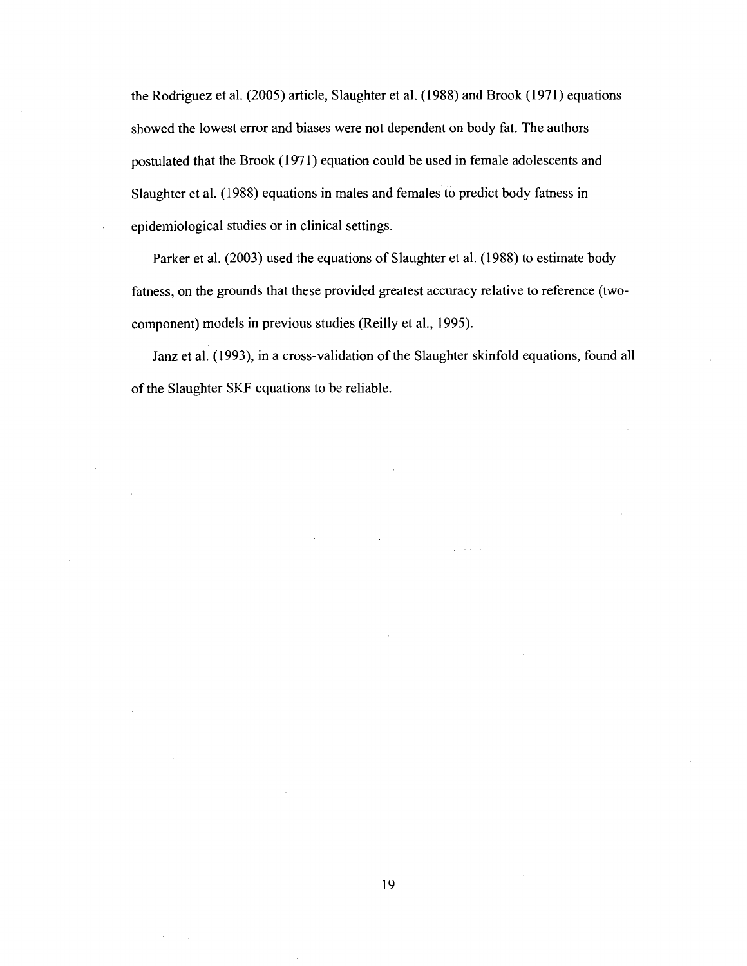the Rodriguez et al. (2005) article, Slaughter et al. (1988) and Brook (1971) equations showed the lowest error and biases were not dependent on body fat. The authors postulated that the Brook (1971) equation could be used in female adolescents and Slaughter et al. (1988) equations in males and females to predict body fatness in epidemiological studies or in clinical settings.

Parker et al. (2003) used the equations of Slaughter et al. (1988) to estimate body fatness, on the grounds that these provided greatest accuracy relative to reference (twocomponent) models in previous studies (Reilly et al., 1995).

Janz et al. (1993), in a cross-validation of the Slaughter skinfold equations, found all of the Slaughter SKF equations to be reliable.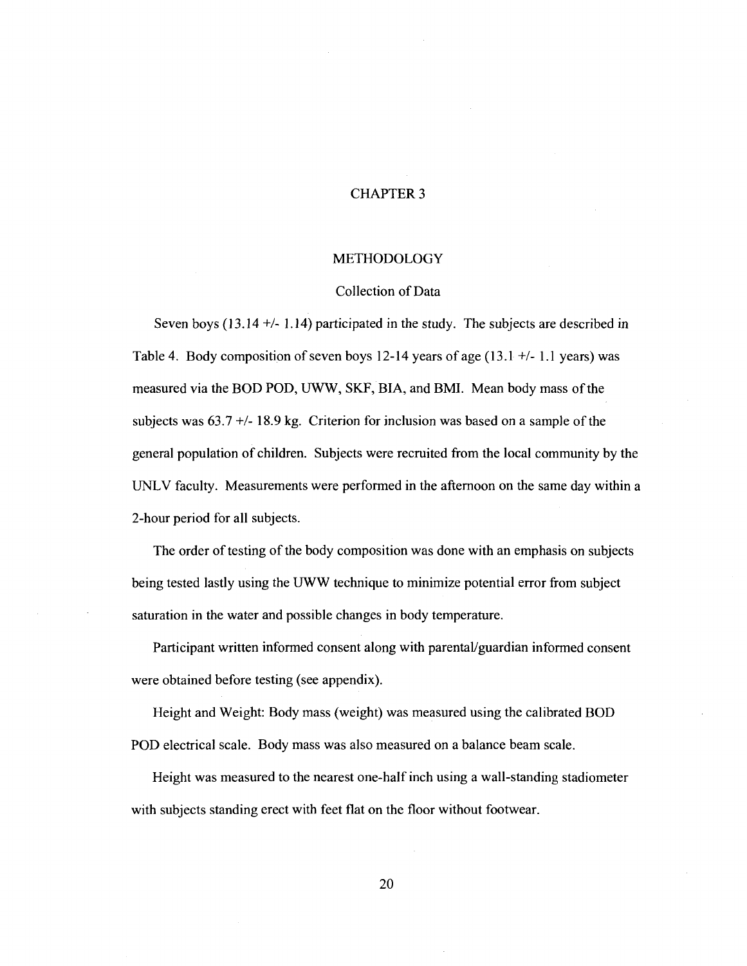## CHAPTER 3

#### METHODOLOGY

#### Collection of Data

Seven boys (13.14 +/- 1.14) participated in the study. The subjects are described in Table 4. Body composition of seven boys 12-14 years of age (13.1 +/- 1.1 years) was measured via the BOD POD, UWW, SKF, BIA, and BMI. Mean body mass of the subjects was  $63.7 +118.9$  kg. Criterion for inclusion was based on a sample of the general population of children. Subjects were recruited from the local community by the UNLV faculty. Measurements were performed in the afternoon on the same day within a 2-hour period for all subjects.

The order of testing of the body composition was done with an emphasis on subjects being tested lastly using the UWW technique to minimize potential error from subject saturation in the water and possible changes in body temperature.

Participant written informed consent along with parental/guardian informed consent were obtained before testing (see appendix).

Height and Weight: Body mass (weight) was measured using the calibrated BOD POD electrical scale. Body mass was also measured on a balance beam scale.

Height was measured to the nearest one-half inch using a wall-standing stadiometer with subjects standing erect with feet flat on the floor without footwear.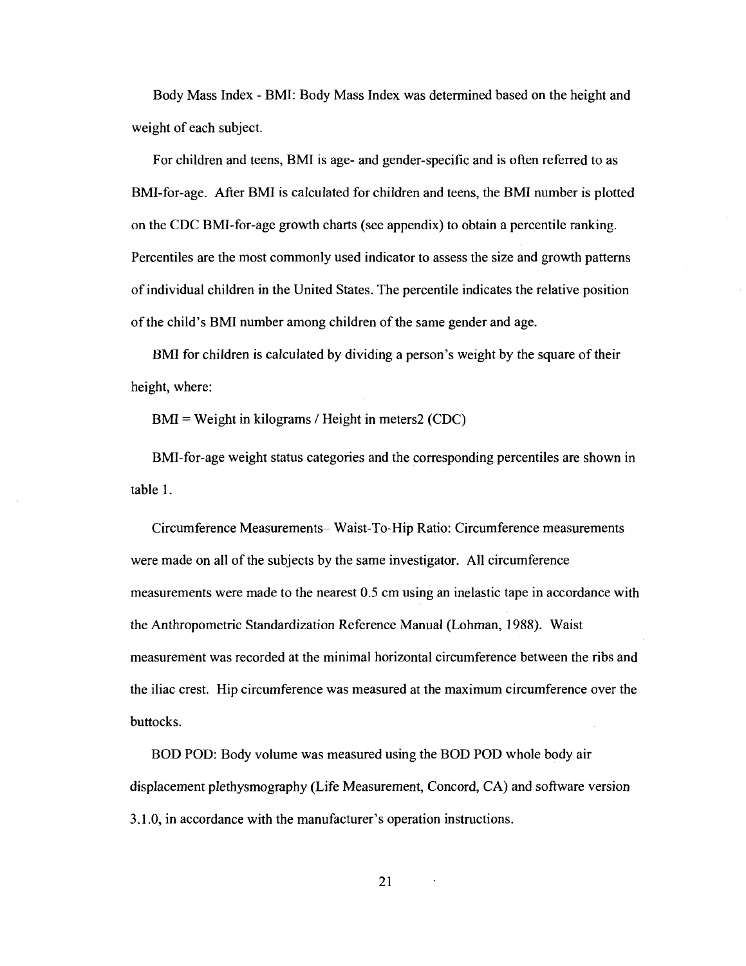Body Mass Index - BMI: Body Mass Index was determined based on the height and weight of each subject.

For children and teens, BMI is age- and gender-specific and is often referred to as BMI-for-age. After BMI is calculated for children and teens, the BMI number is plotted on the CDC BMI-for-age growth charts (see appendix) to obtain a percentile ranking. Percentiles are the most commonly used indicator to assess the size and growth patterns of individual children in the United States. The percentile indicates the relative position of the child's BMI number among children of the same gender and age.

BMI for children is calculated by dividing a person's weight by the square of their height, where:

BMI = Weight in kilograms / Height in meters2 (CDC)

BMI-for-age weight status categories and the corresponding percentiles are shown in table 1.

Circumference Measurements- Waist-To-Hip Ratio: Circumference measurements were made on all of the subjects by the same investigator. All circumference measurements were made to the nearest 0.5 cm using an inelastic tape in accordance with the Anthropometric Standardization Reference Manual (Lohman, 1988). Waist measurement was recorded at the minimal horizontal circumference between the ribs and the iliac crest. Hip circumference was measured at the maximum circumference over the buttocks.

BOD POD: Body volume was measured using the BOD POD whole body air displacement plethysmography (Life Measurement, Concord, CA) and software version 3.1.0, in accordance with the manufacturer's operation instructions.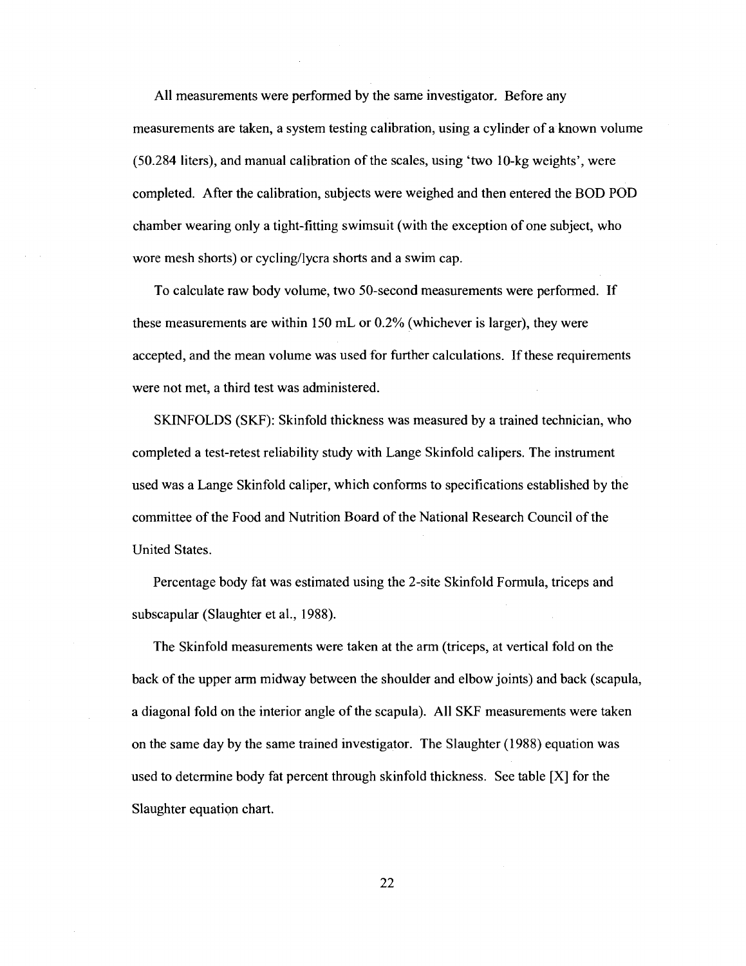All measurements were performed by the same investigator. Before any measurements are taken, a system testing calibration, using a cylinder of a known volume (50.284 liters), and manual calibration of the scales, using 'two 10-kg weights', were completed. After the calibration, subjects were weighed and then entered the BOD POD chamber wearing only a tight-fitting swimsuit (with the exception of one subject, who wore mesh shorts) or cycling/lycra shorts and a swim cap.

To calculate raw body volume, two 50-second measurements were performed. If these measurements are within 150 mL or 0.2% (whichever is larger), they were accepted, and the mean volume was used for further calculations. If these requirements were not met, a third test was administered.

SKINFOLDS (SKF): Skinfold thickness was measured by a trained technician, who completed a test-retest reliability study with Lange Skinfold calipers. The instrument used was a Lange Skinfold caliper, which conforms to specifications established by the committee of the Food and Nutrition Board of the National Research Council of the United States.

Percentage body fat was estimated using the 2-site Skinfold Formula, triceps and subscapular (Slaughter et al., 1988).

The Skinfold measurements were taken at the arm (triceps, at vertical fold on the back of the upper arm midway between the shoulder and elbow joints) and back (scapula, a diagonal fold on the interior angle of the scapula). All SKF measurements were taken on the same day by the same trained investigator. The Slaughter (1988) equation was used to determine body fat percent through skinfold thickness. See table [X] for the Slaughter equation chart.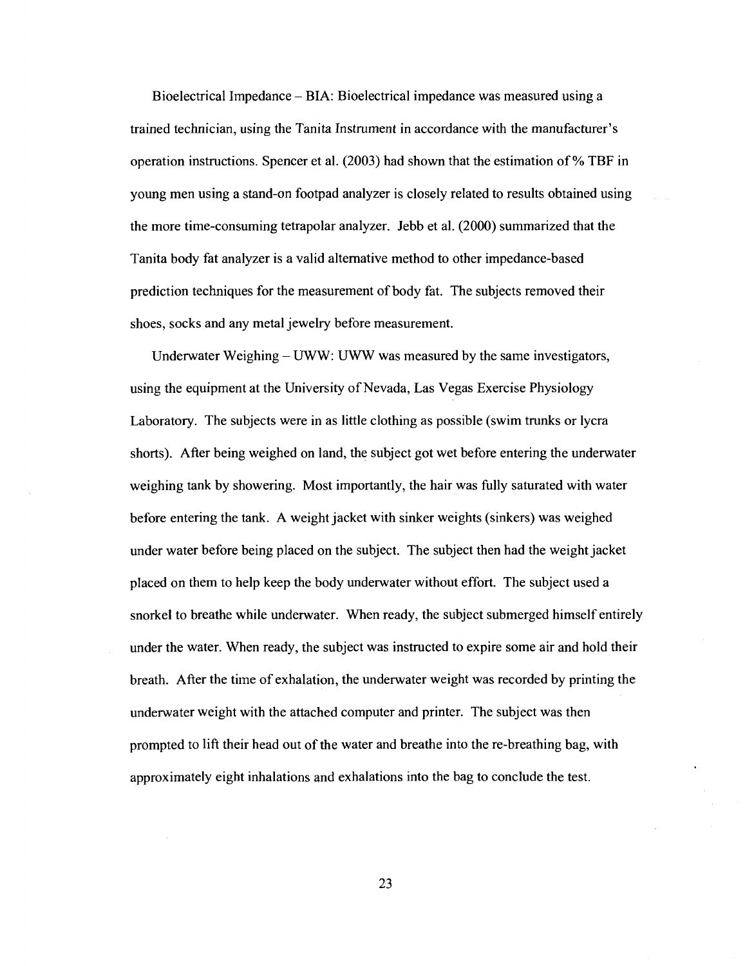Bioelectrical Impedance - BIA: Bioelectrical impedance was measured using a trained technician, using the Tanita Instrument in accordance with the manufacturer's operation instructions. Spencer et al. (2003) had shown that the estimation of % TBF in young men using a stand-on footpad analyzer is closely related to results obtained using the more time-consuming tetrapolar analyzer. Jebb et al. (2000) summarized that the Tanita body fat analyzer is a valid alternative method to other impedance-based prediction techniques for the measurement of body fat. The subjects removed their shoes, socks and any metal jewelry before measurement.

Underwater Weighing – UWW: UWW was measured by the same investigators, using the equipment at the University of Nevada, Las Vegas Exercise Physiology Laboratory. The subjects were in as little clothing as possible (swim trunks or lycra shorts). After being weighed on land, the subject got wet before entering the underwater weighing tank by showering. Most importantly, the hair was fully saturated with water before entering the tank. A weight jacket with sinker weights (sinkers) was weighed under water before being placed on the subject. The subject then had the weight jacket placed on them to help keep the body underwater without effort. The subject used a snorkel to breathe while underwater. When ready, the subject submerged himself entirely under the water. When ready, the subject was instructed to expire some air and hold their breath. After the time of exhalation, the underwater weight was recorded by printing the underwater weight with the attached computer and printer. The subject was then prompted to lift their head out of the water and breathe into the re-breathing bag, with approximately eight inhalations and exhalations into the bag to conclude the test.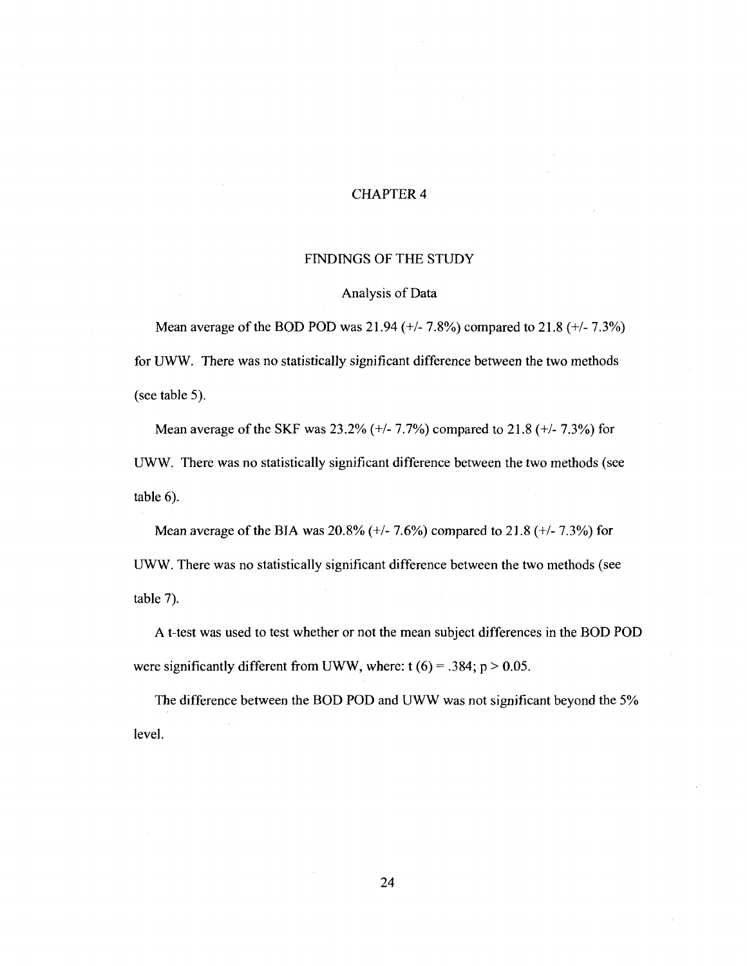#### CHAPTER 4

#### FINDINGS OF THE STUDY

#### Analysis of Data

Mean average of the BOD POD was 21.94 (+/- 7.8%) compared to 21.8 (+/- 7.3%) for UWW. There was no statistically significant difference between the two methods (see table 5).

Mean average of the SKF was 23.2% (+/- 7.7%) compared to 21.8 (+/- 7.3%) for UWW. There was no statistically significant difference between the two methods (see table 6).

Mean average of the BIA was 20.8% (+/- 7.6%) compared to 21.8 (+/- 7.3%) for UWW. There was no statistically significant difference between the two methods (see table 7).

A t-test was used to test whether or not the mean subject differences in the BOD POD were significantly different from UWW, where:  $t (6) = .384$ ;  $p > 0.05$ .

The difference between the BOD POD and UWW was not significant beyond the 5% level.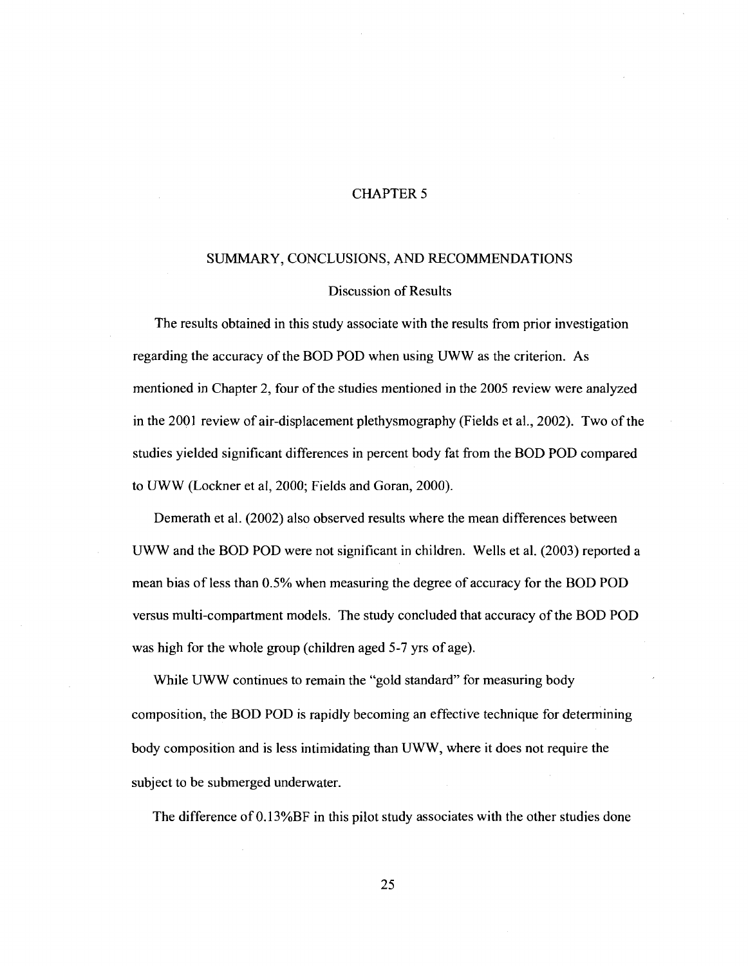#### CHAPTER 5

#### SUMMARY, CONCLUSIONS, AND RECOMMENDATIONS

#### Discussion of Results

The results obtained in this study associate with the results from prior investigation regarding the accuracy of the BOD POD when using UWW as the criterion. As mentioned in Chapter 2, four of the studies mentioned in the 2005 review were analyzed in the 2001 review of air-displacement plethysmography (Fields et al., 2002). Two of the studies yielded significant differences in percent body fat from the BOD POD compared to UWW (Lockner et al, 2000; Fields and Goran, 2000).

Demerath et al. (2002) also observed results where the mean differences between UWW and the BOD POD were not significant in children. Wells et al. (2003) reported a mean bias of less than 0.5% when measuring the degree of accuracy for the BOD POD versus multi-compartment models. The study concluded that accuracy of the BOD POD was high for the whole group (children aged 5-7 yrs of age).

While UWW continues to remain the "gold standard" for measuring body composition, the BOD POD is rapidly becoming an effective technique for determining body composition and is less intimidating than UWW, where it does not require the subject to be submerged underwater.

The difference of 0.13%BF in this pilot study associates with the other studies done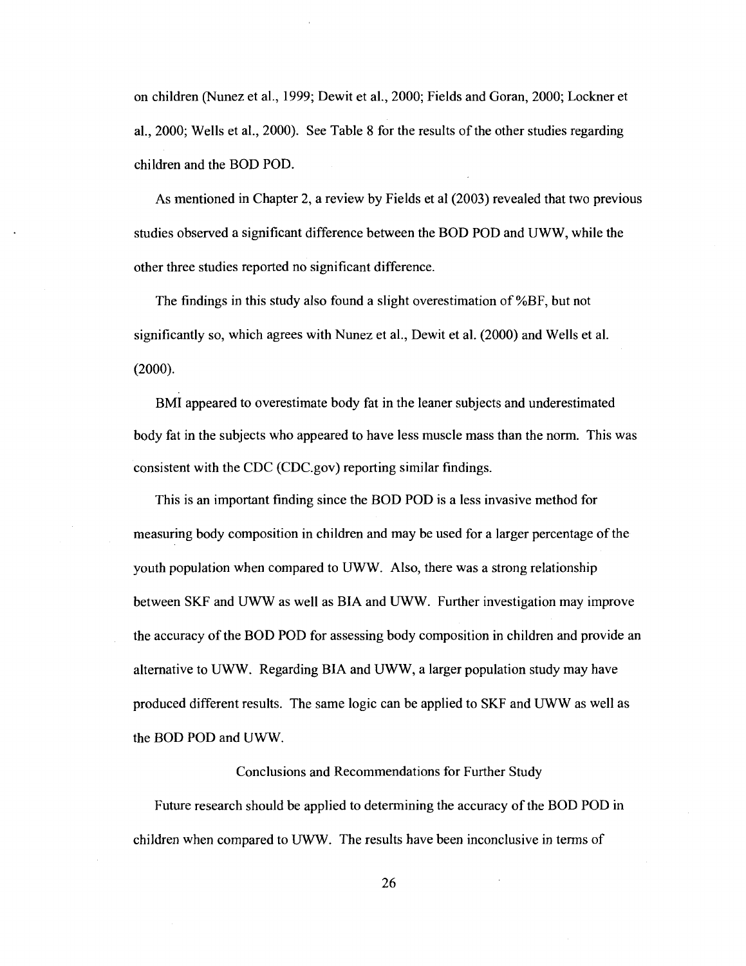on children (Nunez et al., 1999; Dewit et al., 2000; Fields and Goran, 2000; Lockner et al., 2000; Wells et al., 2000). See Table 8 for the results of the other studies regarding children and the BOD POD.

As mentioned in Chapter 2, a review by Fields et al (2003) revealed that two previous studies observed a significant difference between the BOD POD and UWW, while the other three studies reported no significant difference.

The findings in this study also found a slight overestimation of %BF, but not significantly so, which agrees with Nunez et al., Dewit et al. (2000) and Wells et al. (2000).

BMI appeared to overestimate body fat in the leaner subjects and underestimated body fat in the subjects who appeared to have less muscle mass than the norm. This was consistent with the CDC ([CDC.gov\)](http://CDC.gov) reporting similar findings.

This is an important finding since the BOD POD is a less invasive method for measuring body composition in children and may be used for a larger percentage of the youth population when compared to UWW. Also, there was a strong relationship between SKF and UWW as well as BIA and UWW. Further investigation may improve the accuracy of the BOD POD for assessing body composition in children and provide an alternative to UWW. Regarding BIA and UWW, a larger population study may have produced different results. The same logic can be applied to SKF and UWW as well as the BOD POD and UWW.

#### Conclusions and Recommendations for Further Study

Future research should be applied to determining the accuracy of the BOD POD in children when compared to UWW. The results have been inconclusive in terms of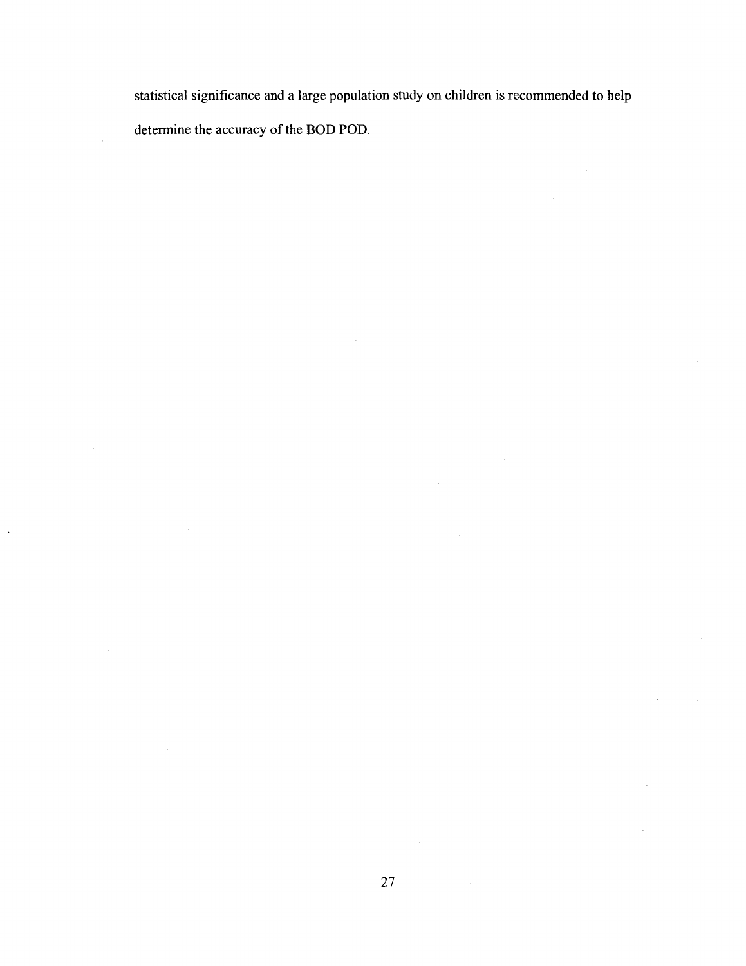statistical significance and a large population study on children is recommended to help determine the accuracy of the BOD POD.

 $\hat{\mathcal{A}}$ 

 $\sim 10$ 

 $\bar{z}$ 

 $\frac{1}{2} \frac{1}{2}$ 

 $\sim$ 

÷.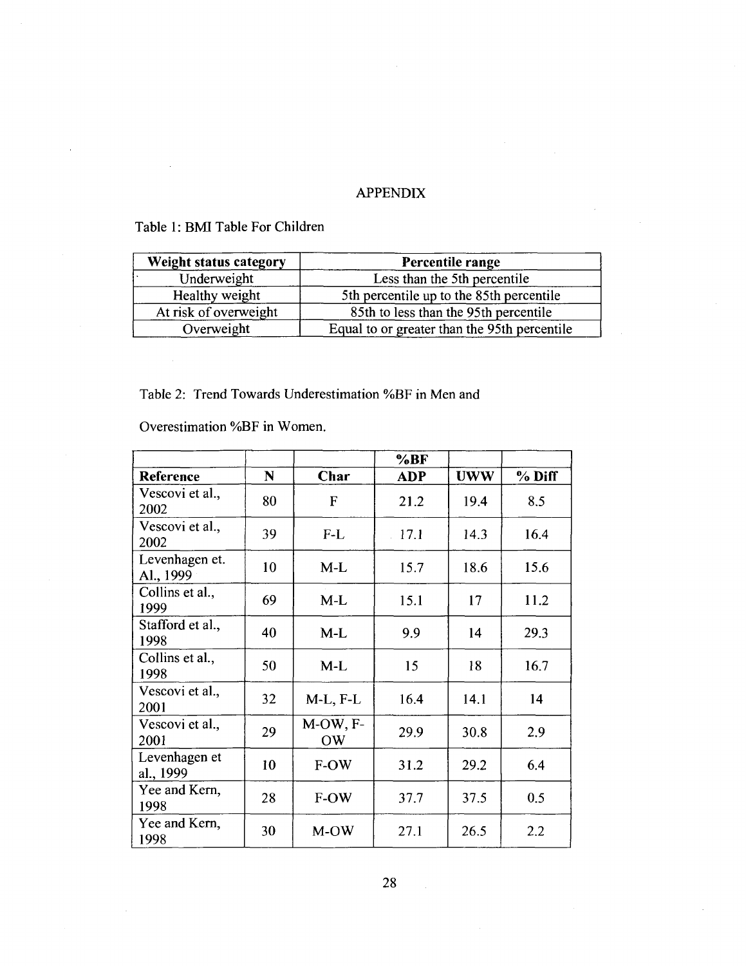## APPENDIX

## Table 1: BMI Table For Children

 $\ddot{\phantom{a}}$ 

| Weight status category | Percentile range                             |
|------------------------|----------------------------------------------|
| Underweight            | Less than the 5th percentile                 |
| Healthy weight         | 5th percentile up to the 85th percentile     |
| At risk of overweight  | 85th to less than the 95th percentile        |
| Overweight             | Equal to or greater than the 95th percentile |

Table 2: Trend Towards Underestimation %BF in Men and

Overestimation %BF in Women.

|                             |    |                       | %BF          |            |        |
|-----------------------------|----|-----------------------|--------------|------------|--------|
| Reference                   | N  | Char                  | <b>ADP</b>   | <b>UWW</b> | % Diff |
| Vescovi et al.,<br>2002     | 80 | F                     | 21.2         | 19.4       | 8.5    |
| Vescovi et al.,<br>2002     | 39 | $F-L$                 | $\cdot$ 17.1 | 14.3       | 16.4   |
| Levenhagen et.<br>Al., 1999 | 10 | $M-L$                 | 15.7         | 18.6       | 15.6   |
| Collins et al.,<br>1999     | 69 | $M-L$                 | 15.1         | 17         | 11.2   |
| Stafford et al.,<br>1998    | 40 | $M-L$                 | 9.9          | 14         | 29.3   |
| Collins et al.,<br>1998     | 50 | $M-L$                 | 15           | 18         | 16.7   |
| Vescovi et al.,<br>2001     | 32 | $M-L$ , $F-L$         | 16.4         | 14.1       | 14     |
| Vescovi et al.,<br>2001     | 29 | M-OW, F-<br><b>OW</b> | 29.9         | 30.8       | 2.9    |
| Levenhagen et<br>al., 1999  | 10 | F-OW                  | 31.2         | 29.2       | 6.4    |
| Yee and Kern,<br>1998       | 28 | F-OW                  | 37.7         | 37.5       | 0.5    |
| Yee and Kern,<br>1998       | 30 | M-OW                  | 27.1         | 26.5       | 2.2    |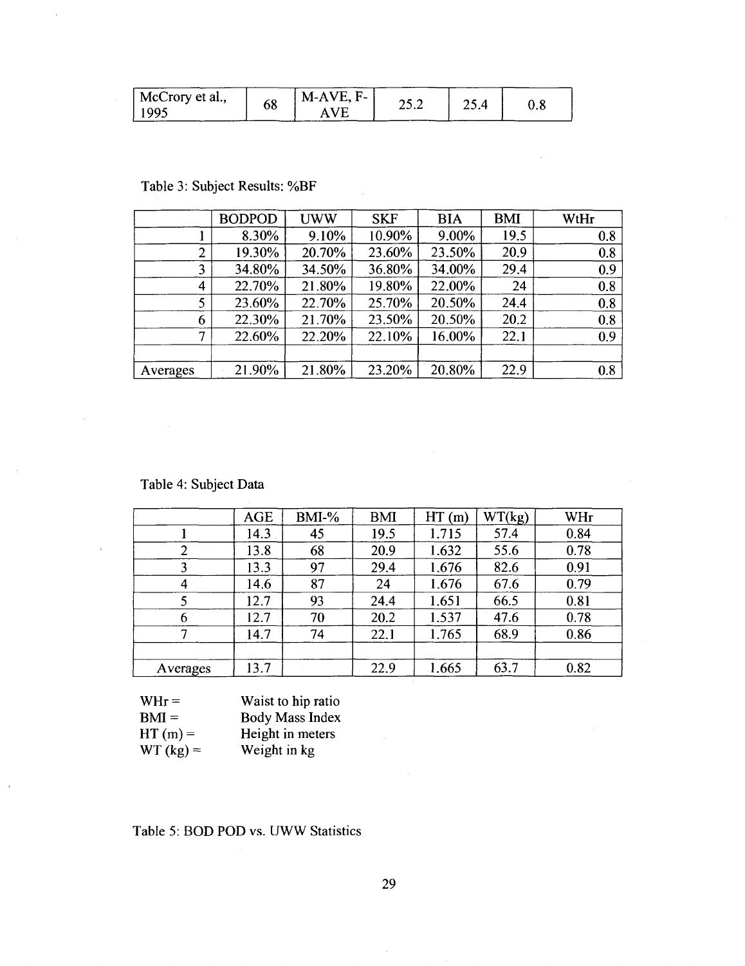| McCrory et al., | 68 | $M-AVE, F-$ |       |      |     |
|-----------------|----|-------------|-------|------|-----|
| 1995            |    | А           | ے ۔ ب | 23.4 | ∪.Ծ |

## Table 3: Subject Results: %BF

 $\overline{\phantom{a}}$ 

 $\ddot{\phantom{a}}$ 

|                | <b>BODPOD</b> | <b>UWW</b> | <b>SKF</b> | <b>BIA</b> | <b>BMI</b> | WtHr |
|----------------|---------------|------------|------------|------------|------------|------|
|                | 8.30%         | 9.10%      | 10.90%     | 9.00%      | 19.5       | 0.8  |
| $\overline{2}$ | 19.30%        | 20.70%     | 23.60%     | 23.50%     | 20.9       | 0.8  |
| 3              | 34.80%        | 34.50%     | 36.80%     | 34.00%     | 29.4       | 0.9  |
| 4              | 22.70%        | 21.80%     | 19.80%     | 22.00%     | 24         | 0.8  |
| 5              | 23.60%        | 22.70%     | 25.70%     | 20.50%     | 24.4       | 0.8  |
| 6              | 22.30%        | 21.70%     | 23.50%     | 20.50%     | 20.2       | 0.8  |
| 7              | 22.60%        | 22.20%     | 22.10%     | 16.00%     | 22.1       | 0.9  |
|                |               |            |            |            |            |      |
| Averages       | 21.90%        | 21.80%     | 23.20%     | 20.80%     | 22.9       | 0.8  |

## Table 4: Subject Data

|          | <b>AGE</b> | $BMI-%$ | <b>BMI</b> | HT(m) | WT(kg) | <b>WHr</b> |
|----------|------------|---------|------------|-------|--------|------------|
|          | 14.3       | 45      | 19.5       | 1.715 | 57.4   | 0.84       |
| 2        | 13.8       | 68      | 20.9       | 1.632 | 55.6   | 0.78       |
| 3        | 13.3       | 97      | 29.4       | 1.676 | 82.6   | 0.91       |
| 4        | 14.6       | 87      | 24         | 1.676 | 67.6   | 0.79       |
|          | 12.7       | 93      | 24.4       | 1.651 | 66.5   | 0.81       |
| 6        | 12.7       | 70      | 20.2       | 1.537 | 47.6   | 0.78       |
| 7        | 14.7       | 74      | 22.1       | 1.765 | 68.9   | 0.86       |
|          |            |         |            |       |        |            |
| Averages | 13.7       |         | 22.9       | 1.665 | 63.7   | 0.82       |

| $WHr =$     | Waist to hip ratio     |
|-------------|------------------------|
| $BM =$      | <b>Body Mass Index</b> |
| $HT(m) =$   | Height in meters       |
| $WT (kg) =$ | Weight in kg           |

## Table 5: BOD POD vs. UWW Statistics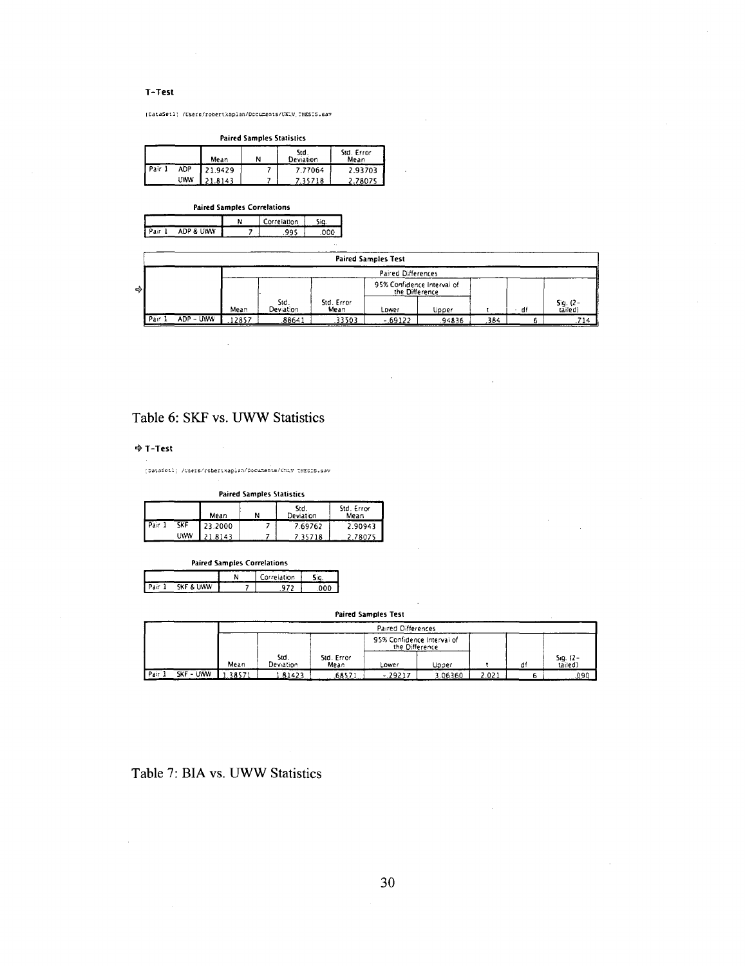#### **T-Test**

[CataSeil] /UserB/robertkaplan/Documents/UKIV THESIS.sav

**Paired Samples Statistics** 

|        |     | Mean    | N | Std.<br>Deviation | Std. Error<br>Mean |
|--------|-----|---------|---|-------------------|--------------------|
| Pair 1 | ADP | 21.9429 |   | 7.77064           | 2.93703            |
|        | UWV | 1.8143  |   | 7.35718           | 2.78075            |

| <b>Paired Samples Correlations</b> |           |  |             |  |  |
|------------------------------------|-----------|--|-------------|--|--|
|                                    |           |  | Correlation |  |  |
|                                    | ADP & UWW |  |             |  |  |

|    |                           |           |       |                   |                    | <b>Paired Samples Test</b>                   |        |      |      |                     |
|----|---------------------------|-----------|-------|-------------------|--------------------|----------------------------------------------|--------|------|------|---------------------|
|    | <b>Paired Differences</b> |           |       |                   |                    |                                              |        |      |      |                     |
| ۰ò |                           |           |       |                   |                    | 95% Confidence Interval of<br>the Difference |        |      |      |                     |
|    |                           |           | Mean  | Std.<br>Deviation | Std. Error<br>Mean | Lower                                        | Upper  |      | ∗ df | Sig. (2-<br>tailed) |
|    | Pair 1                    | ADP - UWW | 12857 | .88641            | .33503             | $-69122$                                     | .94836 | .384 |      | 714                 |

#### Table 6: SKF vs. UWW Statistics

#### **4- T-Tcst**

[DataSet1] /Users/robert%aplan/Documents/UNEV\_THESES.sav

| <b>Paired Samples Statistics</b> |            |         |  |                   |                    |  |  |
|----------------------------------|------------|---------|--|-------------------|--------------------|--|--|
|                                  |            | Mean    |  | Std.<br>Deviation | Std. Error<br>Mean |  |  |
| Pair 1                           | <b>SKF</b> | 23.2000 |  | 7.69762           | 2.90943            |  |  |
|                                  | <b>LWW</b> | 21.8143 |  | 7.35718           | 2.78075            |  |  |

| <b>Paired Samples Correlations</b> |  |             |  |  |  |
|------------------------------------|--|-------------|--|--|--|
|                                    |  | Correlation |  |  |  |
| SKF & UWW<br>Pair                  |  |             |  |  |  |

#### **Paired Samples Test**

|                    | Parred Differences |                    |                    |                                              |        |       |  |                         |
|--------------------|--------------------|--------------------|--------------------|----------------------------------------------|--------|-------|--|-------------------------|
|                    |                    |                    |                    | 95% Confidence Interval of<br>the Difference |        |       |  |                         |
|                    | Mean               | Std.<br>Deviation. | Std. Error<br>Mean | Lower                                        | Upper  |       |  | $S_1g.$ (2 -<br>tailed) |
| Pair.<br>SKF - UWW | 38571              | .81423             | 68571              | $-.29217$                                    | .06360 | 2.021 |  | .090                    |

Table 7: BIA vs. UWW Statistics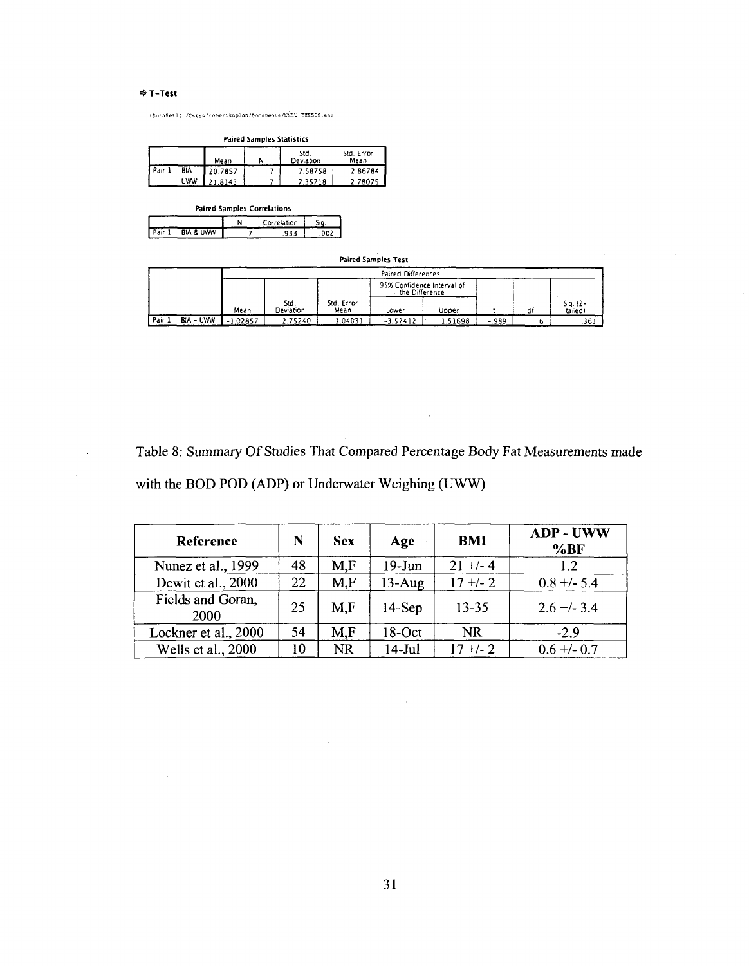#### **4 T-Test**

 $\bar{z}$ 

I Da-.aSe'.i; /users/reber:.;opiari/v3cujEenLE/W£.v THESIS.sav

**Paired Samples Statistics** 

|        |            | Mean    | N | Std.<br><b>Deviation</b> | Std. Error<br>Mean |
|--------|------------|---------|---|--------------------------|--------------------|
| Pair 1 | BΙA        | 20.7857 |   | 7.58758                  | 2.86784            |
|        | <b>UWW</b> | 21.8143 |   | 7.35718                  | 2.78075            |

| <b>Paired Samples Correlations</b> |                      |   |             |  |  |  |  |
|------------------------------------|----------------------|---|-------------|--|--|--|--|
|                                    |                      | ٨ | Correlation |  |  |  |  |
|                                    | <b>BIA &amp; UWW</b> |   |             |  |  |  |  |

#### **Paired Samples Test**

 $\mathcal{L}_{\mathcal{A}}$ 

|       |                  | <b>Paired Differences</b> |                   |                    |                                              |         |         |   |                      |
|-------|------------------|---------------------------|-------------------|--------------------|----------------------------------------------|---------|---------|---|----------------------|
|       |                  |                           |                   |                    | 95% Confidence Interval of<br>the Difference |         |         |   |                      |
|       |                  | Mean                      | Std.<br>Deviation | Std. Error<br>Mean | Lower                                        | Uoper   |         | đ | $Sq.$ (2-<br>talled) |
| Pair. | <b>BIA - UWW</b> | .02857                    | ۔ 75240           | .04031             | $-3.57412$                                   | 1.51698 | $-.989$ |   | .361                 |

Table 8: Summary Of Studies That Compared Percentage Body Fat Measurements made with the BOD POD (ADP) or Underwater Weighing (UWW)

| Reference                 | N  | <b>Sex</b> | Age       | <b>BMI</b> | <b>ADP - UWW</b><br>%BF |
|---------------------------|----|------------|-----------|------------|-------------------------|
| Nunez et al., 1999        | 48 | M.F        | $19$ -Jun | $21 +/- 4$ | 1.2                     |
| Dewit et al., 2000        | 22 | M.F        | $13$ -Aug | $17 + 2$   | $0.8 +/- 5.4$           |
| Fields and Goran,<br>2000 | 25 | M.F        | $14-Sep$  | $13 - 35$  | $2.6 + -3.4$            |
| Lockner et al., 2000      | 54 | M.F        | $18-Oct$  | <b>NR</b>  | $-2.9$                  |
| Wells et al., 2000        | 10 | <b>NR</b>  | $14$ -Jul | $17 +/- 2$ | $0.6 + -0.7$            |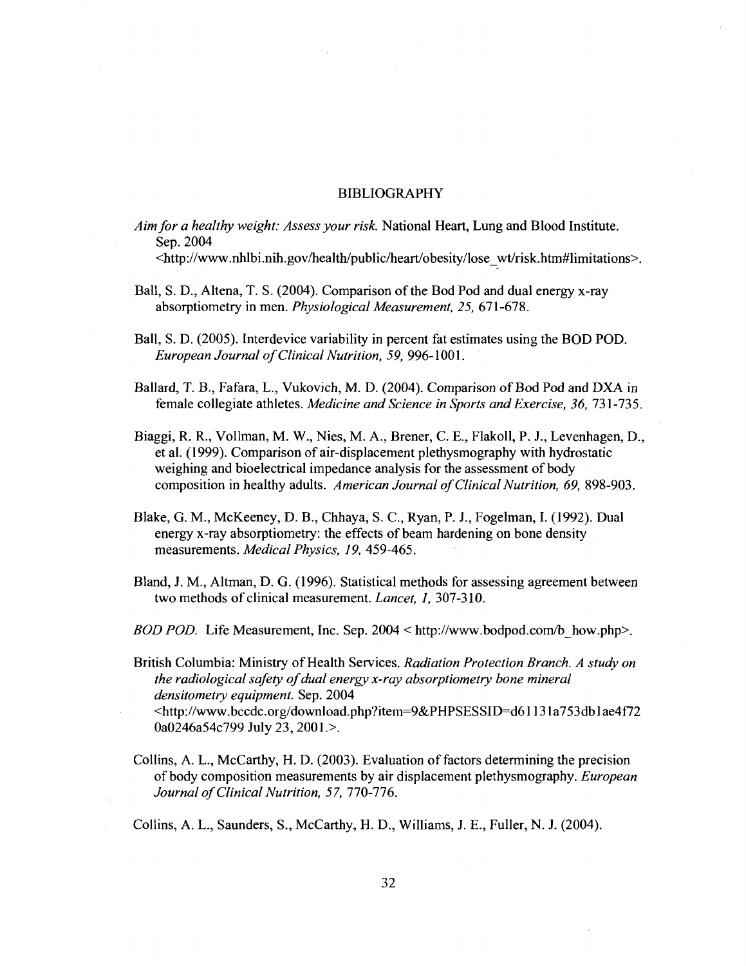#### BIBLIOGRAPHY

*Aim for a healthy weight: Assess your risk.* National Heart, Lung and Blood Institute. Sep.2004 <http://www.nhlbi.nih.gov/health/public/heart/obesity/lose\_wt/risk.htm#limitations>.

- Ball, S. D., Altena, T. S. (2004). Comparison of the Bod Pod and dual energy x-ray absorptiometry in men. *Physiological Measurement, 25,* 671-678.
- Ball, S. D. (2005). Interdevice variability in percent fat estimates using the BOD POD. *European Journal of Clinical Nutrition, 59,* 996-1001.
- Ballard, T. B., Fafara, L., Vukovich, M. D. (2004). Comparison of Bod Pod and DXA in female collegiate athletes. *Medicine and Science in Sports and Exercise, 36,* 731-735.
- Biaggi, R. R., Vollman, M. W., Nies, M. A., Brener, C. E., Flakoll, P. J., Levenhagen, D., et al. (1999). Comparison of air-displacement plethysmography with hydrostatic weighing and bioelectrical impedance analysis for the assessment of body composition in healthy adults. *American Journal of Clinical Nutrition, 69,* 898-903.
- Blake, G. M., McKeeney, D. B., Chhaya, S. C, Ryan, P. J., Fogelman, I. (1992). Dual energy x-ray absorptiometry: the effects of beam hardening on bone density measurements. *Medical Physics, 19,* 459-465.
- Bland, J. M., Altman, D. G. (1996). Statistical methods for assessing agreement between two methods of clinical measurement. *Lancet, 1,* 307-310.
- *BOD POD.* Life Measurement, Inc. Sep. 2004 < [http://www.bodpod.com/b\\_how.php>](http://www.bodpod.com/b_how.php).

British Columbia: Ministry of Health Services. *Radiation Protection Branch. A study on the radiological safety of dual energy x-ray absorptiometry bone mineral densitometry equipment.* Sep. 2004 [<http://www.bccdc.org/download.php?item=9&PHPSESSID=d61131 a753db 1 ae4f72](http://www.bccdc.org/download.php?item=9&PHPSESSID=d61131%20a753db%201%20ae4f72?0a0246a54c799%20July%2023,%202001.) [0a0246a54c799 July 23, 2001.>](http://www.bccdc.org/download.php?item=9&PHPSESSID=d61131%20a753db%201%20ae4f72?0a0246a54c799%20July%2023,%202001.).

Collins, A. L., McCarthy, H. D. (2003). Evaluation of factors determining the precision of body composition measurements by air displacement plethysmography. *European Journal of Clinical Nutrition, 57, 110-116.* 

Collins, A. L., Saunders, S., McCarthy, H. D., Williams, J. E., Fuller, N. J. (2004).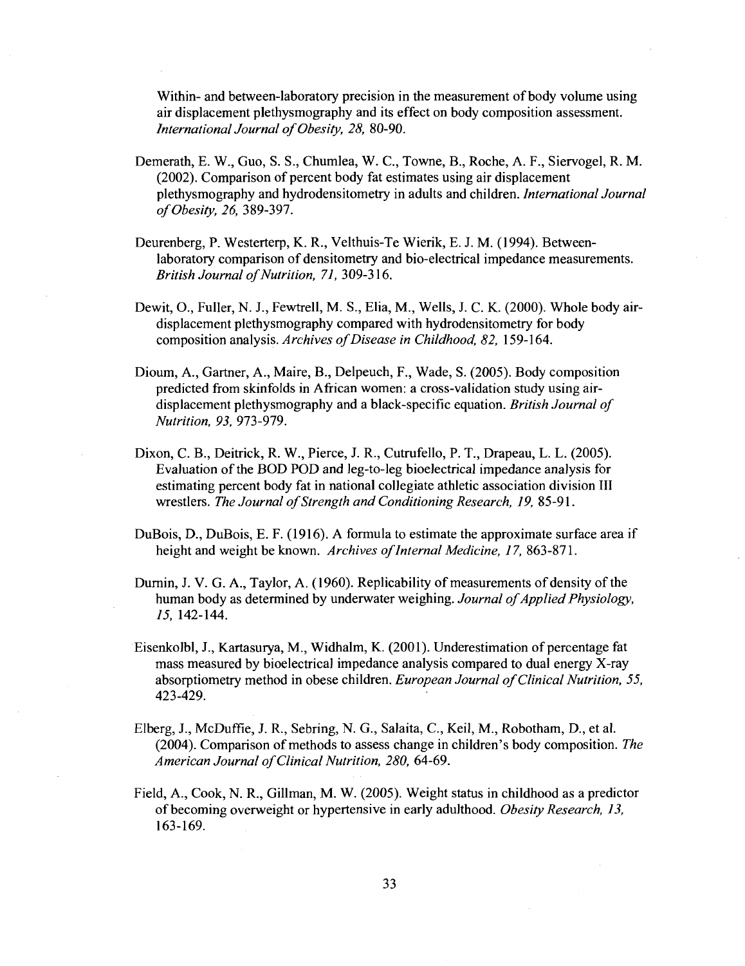Within- and between-laboratory precision in the measurement of body volume using air displacement plethysmography and its effect on body composition assessment. *InternationalJournal of Obesity, 28,* 80-90.

- Demerath, E. W., Guo, S. S., Chumlea, W. C, Towne, B., Roche, A. F., Siervogel, R. M. (2002). Comparison of percent body fat estimates using air displacement plethysmography and hydrodensitometry in adults and children. *International Journal of Obesity, 26,* 389-397.
- Deurenberg, P. Westerterp, K. R., Velthuis-Te Wierik, E. J. M. (1994). Betweenlaboratory comparison of densitometry and bio-electrical impedance measurements. *British Journal of Nutrition, 71,* 309-316.
- Dewit, O., Fuller, N. J., Fewtrell, M. S., Elia, M., Wells, J. C. K. (2000). Whole body airdisplacement plethysmography compared with hydrodensitometry for body composition analysis. *Archives of Disease in Childhood, 82,* 159-164.
- Dioum, A., Gartner, A., Maire, B., Delpeuch, F., Wade, S. (2005). Body composition predicted from skinfolds in African women: a cross-validation study using airdisplacement plethysmography and a black-specific equation. *British Journal of Nutrition, 93,* 973-979.
- Dixon, C. B., Deitrick, R. W., Pierce, J. R., Cutrufello, P. T., Drapeau, L. L. (2005). Evaluation of the BOD POD and leg-to-leg bioelectrical impedance analysis for estimating percent body fat in national collegiate athletic association division III wrestlers. *The Journal of Strength and Conditioning Research, 19,* 85-91.
- DuBois, D., DuBois, E. F. (1916). A formula to estimate the approximate surface area if height and weight be known. *Archives of Internal Medicine, 17,* 863-871.
- Durnin, J. V. G. A., Taylor, A. (1960). Replicability of measurements of density of the human body as determined by underwater weighing. *Journal of Applied Physiology, 15,* 142-144.
- Eisenkolbl, J., Kartasurya, M., Widhalm, K. (2001). Underestimation of percentage fat mass measured by bioelectrical impedance analysis compared to dual energy X-ray absorptiometry method in obese children. *European Journal of Clinical Nutrition, 55,*  423-429.
- Elberg, J., McDuffie, J. R., Sebring, N. G., Salaita, C, Keil, M., Robotham, D., et al. (2004). Comparison of methods to assess change in children's body composition. *The American Journal of Clinical Nutrition, 280,* 64-69.
- Field, A., Cook, N. R., Gillman, M. W. (2005). Weight status in childhood as a predictor of becoming overweight or hypertensive in early adulthood. *Obesity Research, 13,*  163-169.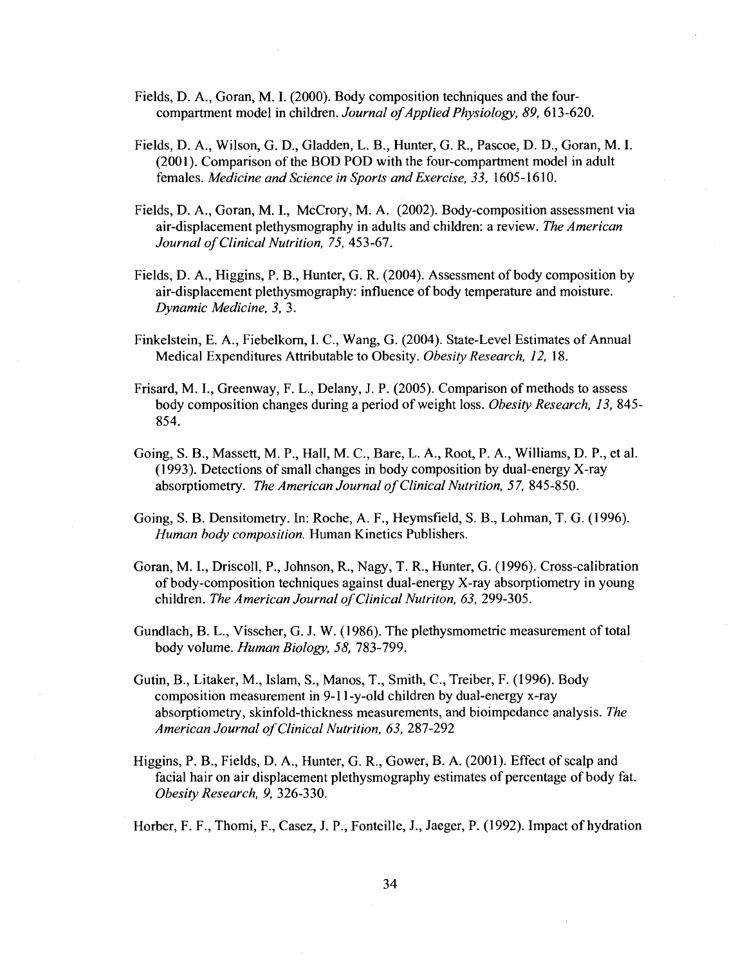- Fields, D. A., Goran, M. I. (2000). Body composition techniques and the fourcompartment model in children. *Journal of Applied Physiology, 89,* 613-620.
- Fields, D. A., Wilson, G. D., Gladden, L. B., Hunter, G. R., Pascoe, D. D., Goran, M. I. (2001). Comparison of the BOD POD with the four-compartment model in adult females. *Medicine and Science in Sports and Exercise, 33,* 1605-1610.
- Fields, D. A., Goran, M. I., McCrory, M. A. (2002). Body-composition assessment via air-displacement plethysmography in adults and children: a review. *The American Journal of Clinical Nutrition, 75,* 453-67.
- Fields, D. A., Higgins, P. B., Hunter, G. R. (2004). Assessment of body composition by air-displacement plethysmography: influence of body temperature and moisture. *Dynamic Medicine, 3,* 3.
- Finkelstein, E. A., Fiebelkorn, I. C., Wang, G. (2004). State-Level Estimates of Annual Medical Expenditures Attributable to Obesity. *Obesity Research, 12,* 18.
- Frisard, M. I., Greenway, F. L., Delany, J. P. (2005). Comparison of methods to assess body composition changes during a period of weight loss. *Obesity Research, 13,* 845- 854.
- Going, S. B., Massett, M. P., Hall, M. C, Bare, L. A., Root, P. A., Williams, D. P., et al. (1993). Detections of small changes in body composition by dual-energy X-ray absorptiometry. *The American Journal of Clinical Nutrition, 57,* 845-850.
- Going, S. B. Densitometry. In: Roche, A. F., Heymsfield, S. B., Lohman, T. G. (1996). *Human body composition.* Human Kinetics Publishers.
- Goran, M. I., Driscoll, P., Johnson, R., Nagy, T. R., Hunter, G. (1996). Cross-calibration of body-composition techniques against dual-energy X-ray absorptiometry in young children. *The American Journal of Clinical Nutriton, 63,* 299-305.
- Gundlach, B. L., Visscher, G. J. W. (1986). The plethysmometric measurement of total body volume. *Human Biology, 58,* 783-799.
- Gutin, B., Litaker, M., Islam, S., Manos, T., Smith, C, Treiber, F. (1996). Body composition measurement in 9-11-y-old children by dual-energy x-ray absorptiometry, skinfold-thickness measurements, and bioimpedance analysis. *The American Journal of Clinical Nutrition, 63,* 287-292
- Higgins, P. B., Fields, D. A., Hunter, G. R., Gower, B. A. (2001). Effect of scalp and facial hair on air displacement plethysmography estimates of percentage of body fat. *Obesity Research, 9,* 326-330.

Horber, F. F., Thomi, F., Casez, J. P., Fonteille, J., Jaeger, P. (1992). Impact of hydration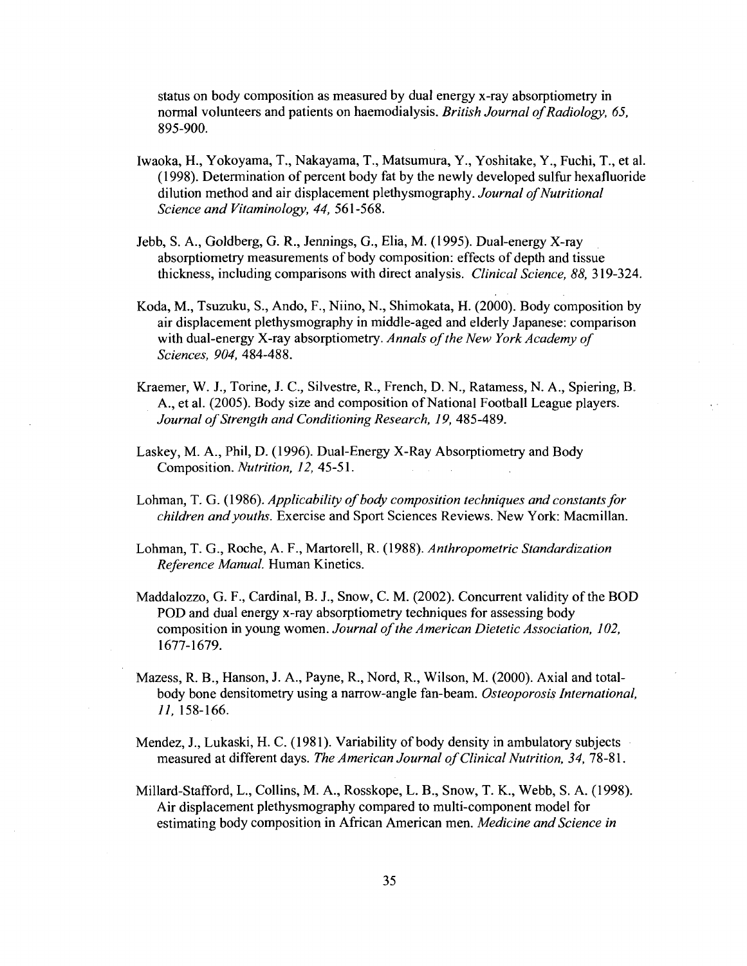status on body composition as measured by dual energy x-ray absorptiometry in normal volunteers and patients on haemodialysis. *British Journal of Radiology, 65,*  895-900.

- Iwaoka, H., Yokoyama, T., Nakayama, T., Matsumura, Y., Yoshitake, Y., Fuchi, T., et al. (1998). Determination of percent body fat by the newly developed sulfur hexafluoride dilution method and air displacement plethysmography. *Journal of Nutritional Science and Vitaminology, 44,* 561-568.
- Jebb, S. A., Goldberg, G. R., Jennings, G., Elia, M. (1995). Dual-energy X-ray absorptiometry measurements of body composition: effects of depth and tissue thickness, including comparisons with direct analysis. *Clinical Science, 88,* 319-324.
- Koda, M., Tsuzuku, S., Ando, F., Niino, N., Shimokata, H. (2000). Body composition by air displacement plethysmography in middle-aged and elderly Japanese: comparison with dual-energy X-ray absorptiometry. *Annals of the New York Academy of Sciences, 904,* 484-488.
- Kraemer, W. J., Torine, J. C, Silvestre, R., French, D. N., Ratamess, N. A., Spiering, B. A., et al. (2005). Body size and composition of National Football League players. *Journal of Strength and Conditioning Research, 19,* 485-489.
- Laskey, M. A., Phil, D. (1996). Dual-Energy X-Ray Absorptiometry and Body Composition. *Nutrition, 12,* 45-51.
- Lohman, T. G. (1986). *Applicability of body composition techniques and constants for children and youths.* Exercise and Sport Sciences Reviews. New York: Macmillan.
- Lohman, T. G., Roche, A. F., Martorell, R. (1988). *Anthropometric Standardization Reference Manual.* Human Kinetics.
- Maddalozzo, G. F., Cardinal, B. J., Snow, C. M. (2002). Concurrent validity of the BOD POD and dual energy x-ray absorptiometry techniques for assessing body composition in young women. *Journal of the American Dietetic Association, 102,*  1677-1679.
- Mazess, R. B., Hanson, J. A., Payne, R., Nord, R., Wilson, M. (2000). Axial and totalbody bone densitometry using a narrow-angle fan-beam. *Osteoporosis International, 11,* 158-166.
- Mendez, J., Lukaski, H. C. (1981). Variability of body density in ambulatory subjects measured at different days. *The American Journal of Clinical Nutrition, 34,* 78-81.
- Millard-Stafford, L., Collins, M. A., Rosskope, L. B., Snow, T. K., Webb, S. A. (1998). Air displacement plethysmography compared to multi-component model for estimating body composition in African American men. *Medicine and Science in*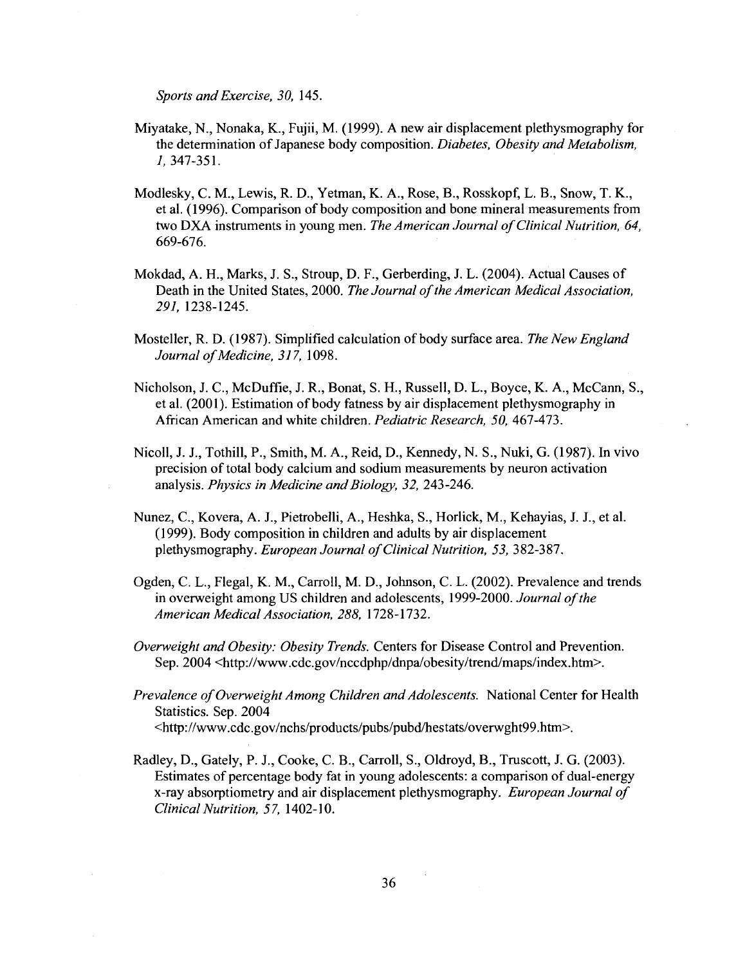*Sports and Exercise, 30,* 145.

- Miyatake, N., Nonaka, K., Fujii, M. (1999). A new air displacement plethysmography for the determination of Japanese body composition. *Diabetes, Obesity and Metabolism, 1,* 347-351.
- Modlesky, C. M., Lewis, R. D., Yetman, K. A., Rose, B., Rosskopf, L. B., Snow, T. K., et al. (1996). Comparison of body composition and bone mineral measurements from two DXA instruments in young men. *The American Journal of Clinical Nutrition, 64,*  669-676.
- Mokdad, A. H., Marks, J. S., Stroup, D. F., Gerberding, J. L. (2004). Actual Causes of Death in the United States, 2000. *The Journal of the American Medical Association, 291,* 1238-1245.
- Mosteller, R. D. (1987). Simplified calculation of body surface area. *The New England Journal of Medicine, 317,* 1098.
- Nicholson, J. C, McDuffie, J. R., Bonat, S. H., Russell, D. L., Boyce, K. A., McCann, S., et al. (2001). Estimation of body fatness by air displacement plethysmography in African American and white children. *Pediatric Research, 50,* 467-473.
- Nicoll, J. J., Tothill, P., Smith, M. A., Reid, D., Kennedy, N. S., Nuki, G. (1987). In vivo precision of total body calcium and sodium measurements by neuron activation analysis. *Physics in Medicine and Biology, 32,* 243-246.
- Nunez, C, Kovera, A. J., Pietrobelli, A., Heshka, S., Horlick, M., Kehayias, J. J., et al. (1999). Body composition in children and adults by air displacement plethysmography. *European Journal of Clinical Nutrition, 53,* 382-387.
- Ogden, C. L., Flegal, K. M, Carroll, M. D., Johnson, C. L. (2002). Prevalence and trends in overweight among US children and adolescents, 1999-2000. *Journal of the American Medical Association, 288,* 1728-1732.
- *Overweight and Obesity: Obesity Trends.* Centers for Disease Control and Prevention. Sep. 2004 [<http://www.cdc.gov/nccdphp/dnpa/obesity/trend/maps/index.htm>.](http://www.cdc.gov/nccdphp/dnpa/obesity/trend/maps/index.htm)
- *Prevalence of Overweight Among Children and Adolescents.* National Center for Health Statistics. Sep. 2004 [<http://www.cdc.gov/nchs/products/pubs/pubd/hestats/overwght99.htm>.](http://www.cdc.gov/nchs/products/pubs/pubd/hestats/overwght99.htm)
- Radley, D., Gately, P. J., Cooke, C. B., Carroll, S., Oldroyd, B., Truscott, J. G. (2003). Estimates of percentage body fat in young adolescents: a comparison of dual-energy x-ray absorptiometry and air displacement plethysmography. *European Journal of Clinical Nutrition, 57,* 1402-10.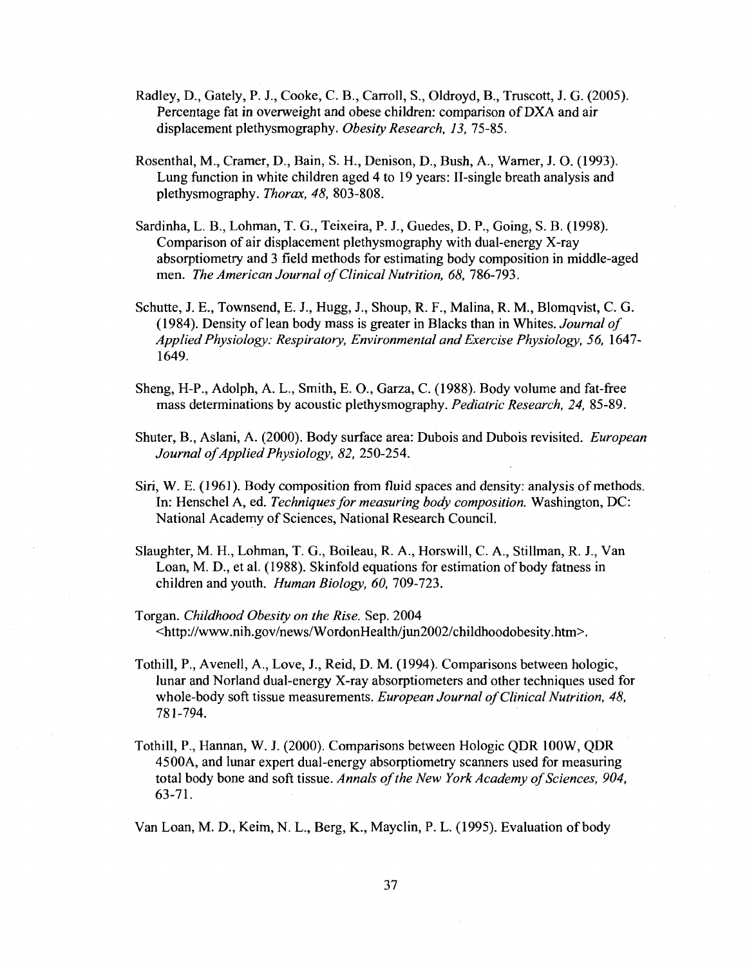- Radley, D., Gately, P. J., Cooke, C. B., Carroll, S., Oldroyd, B., Truscott, J. G. (2005). Percentage fat in overweight and obese children: comparison of DXA and air displacement plethysmography. *Obesity Research, 13,* 75-85.
- Rosenthal, M., Cramer, D., Bain, S. H., Denison, D., Bush, A., Warner, J. O. (1993). Lung function in white children aged 4 to 19 years: II-single breath analysis and plethysmography. *Thorax, 48,* 803-808.
- Sardinha, L. B., Lohman, T. G., Teixeira, P. J., Guedes, D. P., Going, S. B. (1998). Comparison of air displacement plethysmography with dual-energy X-ray absorptiometry and 3 field methods for estimating body composition in middle-aged men. *The American Journal of Clinical Nutrition, 68,* 786-793.
- Schutte, J. E., Townsend, E. J., Hugg, J., Shoup, R. F., Malina, R. M., Blomqvist, C. G. (1984). Density of lean body mass is greater in Blacks than in Whites. *Journal of Applied Physiology: Respiratory, Environmental and Exercise Physiology, 56,* 1647- 1649.
- Sheng, H-P., Adolph, A. L., Smith, E. O., Garza, C. (1988). Body volume and fat-free mass determinations by acoustic plethysmography. *Pediatric Research, 24,* 85-89.
- Shuter, B., Aslani, A. (2000). Body surface area: Dubois and Dubois revisited. *European Journal of Applied Physiology, 82,* 250-254.
- Siri, W. E. (1961). Body composition from fluid spaces and density: analysis of methods. In: Henschel A, ed. *Techniques for measuring body composition.* Washington, DC: National Academy of Sciences, National Research Council.
- Slaughter, M. H., Lohman, T. G., Boileau, R. A., Horswill, C. A., Stillman, R. J., Van Loan, M. D., et al. (1988). Skinfold equations for estimation of body fatness in children and youth. *Human Biology, 60,* 709-723.
- Torgan. *Childhood Obesity on the Rise.* Sep. 2004 [<http://www.nih.gov/news/WordonHealth/jun2002/childhoodobesity.htm>.](http://www.nih.gov/news/WordonHealth/jun2002/childhoodobesity.htm)
- Tothill, P., Avenell, A., Love, J., Reid, D. M. (1994). Comparisons between hologic, lunar and Norland dual-energy X-ray absorptiometers and other techniques used for whole-body soft tissue measurements. *European Journal of Clinical Nutrition, 48,*  781-794.
- Tothill, P., Hannan, W. J. (2000). Comparisons between Hologic QDR 100W, QDR 4500A, and lunar expert dual-energy absorptiometry scanners used for measuring total body bone and soft tissue. *Annals of the New York Academy of Sciences, 904,*  63-71.

Van Loan, M. D., Keim, N. L., Berg, K., Mayclin, P. L. (1995). Evaluation of body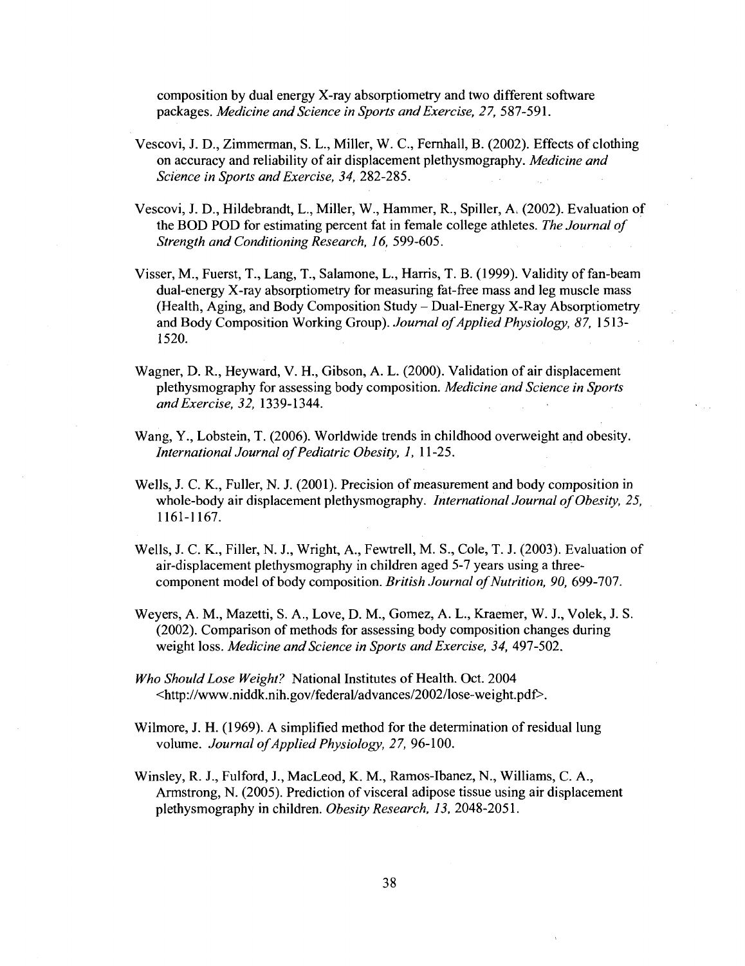composition by dual energy X-ray absorptiometry and two different software packages. *Medicine and Science in Sports and Exercise, 27,* 587-591.

- Vescovi, J. D., Zimmerman, S. L., Miller, W. C, Fernhall, B. (2002). Effects of clothing on accuracy and reliability of air displacement plethysmography. *Medicine and Science in Sports and Exercise, 34,* 282-285.
- Vescovi, J. D., Hildebrandt, L., Miller, W., Hammer, R., Spiller, A, (2002). Evaluation of the BOD POD for estimating percent fat in female college athletes. *The Journal of Strength and Conditioning Research, 16,* 599-605.
- Visser, M., Fuerst, T., Lang, T., Salamone, L., Harris, T. B. (1999). Validity of fan-beam dual-energy X-ray absorptiometry for measuring fat-free mass and leg muscle mass (Health, Aging, and Body Composition Study - Dual-Energy X-Ray Absorptiometry and Body Composition Working Group). *Journal of Applied Physiology, 87,* 1513- 1520.
- Wagner, D. R., Heyward, V. H., Gibson, A. L. (2000). Validation of air displacement plethysmography for assessing body composition. *Medicine and Science in Sports and Exercise, 32,* 1339-1344.
- Wang, Y., Lobstein, T. (2006). Worldwide trends in childhood overweight and obesity. *International Journal of Pediatric Obesity, 1,* 11-25.
- Wells, J. C. K., Fuller, N. J. (2001). Precision of measurement and body composition in whole-body air displacement plethysmography. *International Journal of Obesity, 25,*  1161-1167.
- Wells, J. C. K., Filler, N. J., Wright, A., Fewtrell, M. S., Cole, T. J. (2003). Evaluation of air-displacement plethysmography in children aged 5-7 years using a threecomponent model of body composition. *British Journal of Nutrition, 90,* 699-707.
- Weyers, A. M., Mazetti, S. A., Love, D. M., Gomez, A. L., Kraemer, W. J., Volek, J. S. (2002). Comparison of methods for assessing body composition changes during weight loss. *Medicine and Science in Sports and Exercise, 34,* 497-502.
- *Who Should Lose Weight?* National Institutes of Health. Oct. 2004 <[http://www.niddk.nih.gov/federal/advances/2002/lose-weight.pdf>](http://www.niddk.nih.gov/federal/advances/2002/lose-weight.pdf).
- Wilmore, J. H. (1969). A simplified method for the determination of residual lung volume. *Journal of Applied Physiology, 27,* 96-100.
- Winsley, R. J., Fulford, J., MacLeod, K. M., Ramos-Ibanez, N., Williams, C. A., Armstrong, N. (2005). Prediction of visceral adipose tissue using air displacement plethysmography in children. *Obesity Research, 13,* 2048-2051.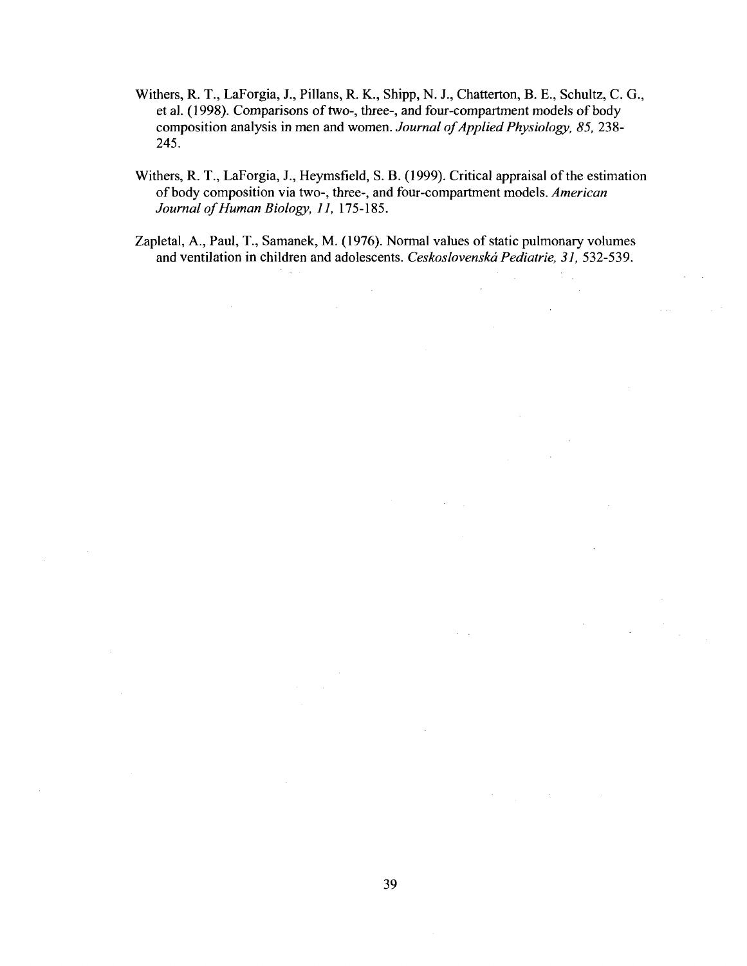- Withers, R. T., LaForgia, J., Pillans, R. K., Shipp, N. J., Chatterton, B. E., Schultz, C. G., et al. (1998). Comparisons of two-, three-, and four-compartment models of body composition analysis in men and women. *Journal of Applied Physiology, 85,* 238- 245.
- Withers, R. T., LaForgia, J., Heymsfield, S. B. (1999). Critical appraisal of the estimation of body composition via two-, three-, and four-compartment models. *American Journal of Human Biology, 11,* 175-185.
- Zapletal, A., Paul, T., Samanek, M. (1976). Normal values of static pulmonary volumes and ventilation in children and adolescents. *Ceskoslovenskd Pediatrie, 31,* 532-539.

 $\bar{z}$ 

 $\mathcal{L}$ 

 $\ddot{\phantom{a}}$ 

 $\sim 10$ 

 $\mathcal{L}$ 

 $\omega$  and  $\omega$